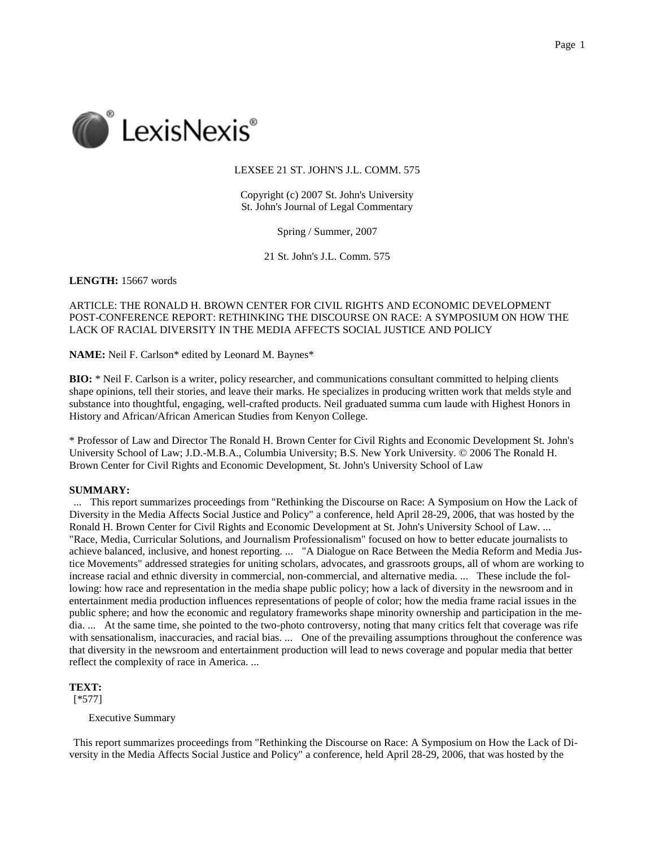

## LEXSEE 21 ST. JOHN'S J.L. COMM. 575

Copyright (c) 2007 St. John's University St. John's Journal of Legal Commentary

Spring / Summer, 2007

21 St. John's J.L. Comm. 575

**LENGTH:** 15667 words

# ARTICLE: THE RONALD H. BROWN CENTER FOR CIVIL RIGHTS AND ECONOMIC DEVELOPMENT POST-CONFERENCE REPORT: RETHINKING THE DISCOURSE ON RACE: A SYMPOSIUM ON HOW THE LACK OF RACIAL DIVERSITY IN THE MEDIA AFFECTS SOCIAL JUSTICE AND POLICY

**NAME:** Neil F. Carlson\* edited by Leonard M. Baynes\*

**BIO:** \* Neil F. Carlson is a writer, policy researcher, and communications consultant committed to helping clients shape opinions, tell their stories, and leave their marks. He specializes in producing written work that melds style and substance into thoughtful, engaging, well-crafted products. Neil graduated summa cum laude with Highest Honors in History and African/African American Studies from Kenyon College.

\* Professor of Law and Director The Ronald H. Brown Center for Civil Rights and Economic Development St. John's University School of Law; J.D.-M.B.A., Columbia University; B.S. New York University. © 2006 The Ronald H. Brown Center for Civil Rights and Economic Development, St. John's University School of Law

### **SUMMARY:**

... This report summarizes proceedings from "Rethinking the Discourse on Race: A Symposium on How the Lack of Diversity in the Media Affects Social Justice and Policy" a conference, held April 28-29, 2006, that was hosted by the Ronald H. Brown Center for Civil Rights and Economic Development at St. John's University School of Law. ... "Race, Media, Curricular Solutions, and Journalism Professionalism" focused on how to better educate journalists to achieve balanced, inclusive, and honest reporting. ... "A Dialogue on Race Between the Media Reform and Media Justice Movements" addressed strategies for uniting scholars, advocates, and grassroots groups, all of whom are working to increase racial and ethnic diversity in commercial, non-commercial, and alternative media. ... These include the following: how race and representation in the media shape public policy; how a lack of diversity in the newsroom and in entertainment media production influences representations of people of color; how the media frame racial issues in the public sphere; and how the economic and regulatory frameworks shape minority ownership and participation in the media. ... At the same time, she pointed to the two-photo controversy, noting that many critics felt that coverage was rife with sensationalism, inaccuracies, and racial bias. ... One of the prevailing assumptions throughout the conference was that diversity in the newsroom and entertainment production will lead to news coverage and popular media that better reflect the complexity of race in America. ...

**TEXT:**

[\*577]

Executive Summary

This report summarizes proceedings from "Rethinking the Discourse on Race: A Symposium on How the Lack of Diversity in the Media Affects Social Justice and Policy" a conference, held April 28-29, 2006, that was hosted by the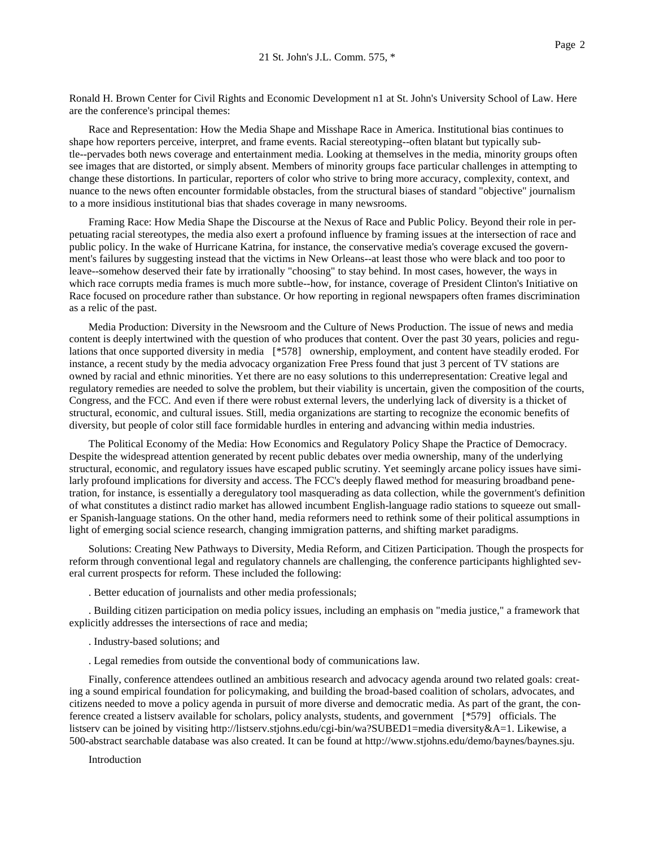Ronald H. Brown Center for Civil Rights and Economic Development n1 at St. John's University School of Law. Here are the conference's principal themes:

Race and Representation: How the Media Shape and Misshape Race in America. Institutional bias continues to shape how reporters perceive, interpret, and frame events. Racial stereotyping--often blatant but typically subtle--pervades both news coverage and entertainment media. Looking at themselves in the media, minority groups often see images that are distorted, or simply absent. Members of minority groups face particular challenges in attempting to change these distortions. In particular, reporters of color who strive to bring more accuracy, complexity, context, and nuance to the news often encounter formidable obstacles, from the structural biases of standard "objective" journalism to a more insidious institutional bias that shades coverage in many newsrooms.

Framing Race: How Media Shape the Discourse at the Nexus of Race and Public Policy. Beyond their role in perpetuating racial stereotypes, the media also exert a profound influence by framing issues at the intersection of race and public policy. In the wake of Hurricane Katrina, for instance, the conservative media's coverage excused the government's failures by suggesting instead that the victims in New Orleans--at least those who were black and too poor to leave--somehow deserved their fate by irrationally "choosing" to stay behind. In most cases, however, the ways in which race corrupts media frames is much more subtle--how, for instance, coverage of President Clinton's Initiative on Race focused on procedure rather than substance. Or how reporting in regional newspapers often frames discrimination as a relic of the past.

Media Production: Diversity in the Newsroom and the Culture of News Production. The issue of news and media content is deeply intertwined with the question of who produces that content. Over the past 30 years, policies and regulations that once supported diversity in media [\*578] ownership, employment, and content have steadily eroded. For instance, a recent study by the media advocacy organization Free Press found that just 3 percent of TV stations are owned by racial and ethnic minorities. Yet there are no easy solutions to this underrepresentation: Creative legal and regulatory remedies are needed to solve the problem, but their viability is uncertain, given the composition of the courts, Congress, and the FCC. And even if there were robust external levers, the underlying lack of diversity is a thicket of structural, economic, and cultural issues. Still, media organizations are starting to recognize the economic benefits of diversity, but people of color still face formidable hurdles in entering and advancing within media industries.

The Political Economy of the Media: How Economics and Regulatory Policy Shape the Practice of Democracy. Despite the widespread attention generated by recent public debates over media ownership, many of the underlying structural, economic, and regulatory issues have escaped public scrutiny. Yet seemingly arcane policy issues have similarly profound implications for diversity and access. The FCC's deeply flawed method for measuring broadband penetration, for instance, is essentially a deregulatory tool masquerading as data collection, while the government's definition of what constitutes a distinct radio market has allowed incumbent English-language radio stations to squeeze out smaller Spanish-language stations. On the other hand, media reformers need to rethink some of their political assumptions in light of emerging social science research, changing immigration patterns, and shifting market paradigms.

Solutions: Creating New Pathways to Diversity, Media Reform, and Citizen Participation. Though the prospects for reform through conventional legal and regulatory channels are challenging, the conference participants highlighted several current prospects for reform. These included the following:

. Better education of journalists and other media professionals;

. Building citizen participation on media policy issues, including an emphasis on "media justice," a framework that explicitly addresses the intersections of race and media;

. Industry-based solutions; and

. Legal remedies from outside the conventional body of communications law.

Finally, conference attendees outlined an ambitious research and advocacy agenda around two related goals: creating a sound empirical foundation for policymaking, and building the broad-based coalition of scholars, advocates, and citizens needed to move a policy agenda in pursuit of more diverse and democratic media. As part of the grant, the conference created a listserv available for scholars, policy analysts, students, and government [\*579] officials. The listserv can be joined by visiting http://listserv.stjohns.edu/cgi-bin/wa?SUBED1=media diversity&A=1. Likewise, a 500-abstract searchable database was also created. It can be found at http://www.stjohns.edu/demo/baynes/baynes.sju.

Introduction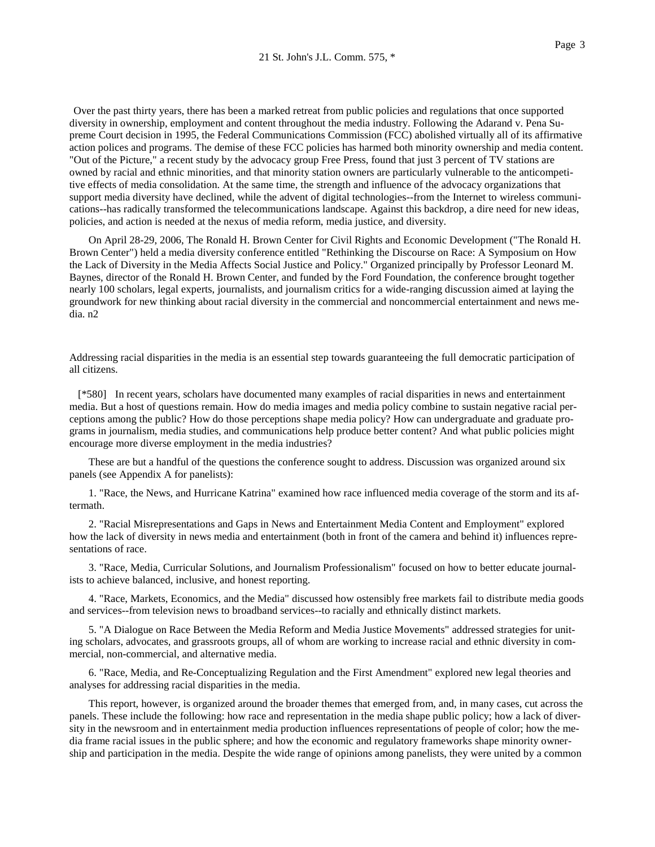Over the past thirty years, there has been a marked retreat from public policies and regulations that once supported diversity in ownership, employment and content throughout the media industry. Following the Adarand v. Pena Supreme Court decision in 1995, the Federal Communications Commission (FCC) abolished virtually all of its affirmative action polices and programs. The demise of these FCC policies has harmed both minority ownership and media content. "Out of the Picture," a recent study by the advocacy group Free Press, found that just 3 percent of TV stations are owned by racial and ethnic minorities, and that minority station owners are particularly vulnerable to the anticompetitive effects of media consolidation. At the same time, the strength and influence of the advocacy organizations that support media diversity have declined, while the advent of digital technologies--from the Internet to wireless communications--has radically transformed the telecommunications landscape. Against this backdrop, a dire need for new ideas, policies, and action is needed at the nexus of media reform, media justice, and diversity.

On April 28-29, 2006, The Ronald H. Brown Center for Civil Rights and Economic Development ("The Ronald H. Brown Center") held a media diversity conference entitled "Rethinking the Discourse on Race: A Symposium on How the Lack of Diversity in the Media Affects Social Justice and Policy." Organized principally by Professor Leonard M. Baynes, director of the Ronald H. Brown Center, and funded by the Ford Foundation, the conference brought together nearly 100 scholars, legal experts, journalists, and journalism critics for a wide-ranging discussion aimed at laying the groundwork for new thinking about racial diversity in the commercial and noncommercial entertainment and news media. n2

Addressing racial disparities in the media is an essential step towards guaranteeing the full democratic participation of all citizens.

 [\*580] In recent years, scholars have documented many examples of racial disparities in news and entertainment media. But a host of questions remain. How do media images and media policy combine to sustain negative racial perceptions among the public? How do those perceptions shape media policy? How can undergraduate and graduate programs in journalism, media studies, and communications help produce better content? And what public policies might encourage more diverse employment in the media industries?

These are but a handful of the questions the conference sought to address. Discussion was organized around six panels (see Appendix A for panelists):

1. "Race, the News, and Hurricane Katrina" examined how race influenced media coverage of the storm and its aftermath.

2. "Racial Misrepresentations and Gaps in News and Entertainment Media Content and Employment" explored how the lack of diversity in news media and entertainment (both in front of the camera and behind it) influences representations of race.

3. "Race, Media, Curricular Solutions, and Journalism Professionalism" focused on how to better educate journalists to achieve balanced, inclusive, and honest reporting.

4. "Race, Markets, Economics, and the Media" discussed how ostensibly free markets fail to distribute media goods and services--from television news to broadband services--to racially and ethnically distinct markets.

5. "A Dialogue on Race Between the Media Reform and Media Justice Movements" addressed strategies for uniting scholars, advocates, and grassroots groups, all of whom are working to increase racial and ethnic diversity in commercial, non-commercial, and alternative media.

6. "Race, Media, and Re-Conceptualizing Regulation and the First Amendment" explored new legal theories and analyses for addressing racial disparities in the media.

This report, however, is organized around the broader themes that emerged from, and, in many cases, cut across the panels. These include the following: how race and representation in the media shape public policy; how a lack of diversity in the newsroom and in entertainment media production influences representations of people of color; how the media frame racial issues in the public sphere; and how the economic and regulatory frameworks shape minority ownership and participation in the media. Despite the wide range of opinions among panelists, they were united by a common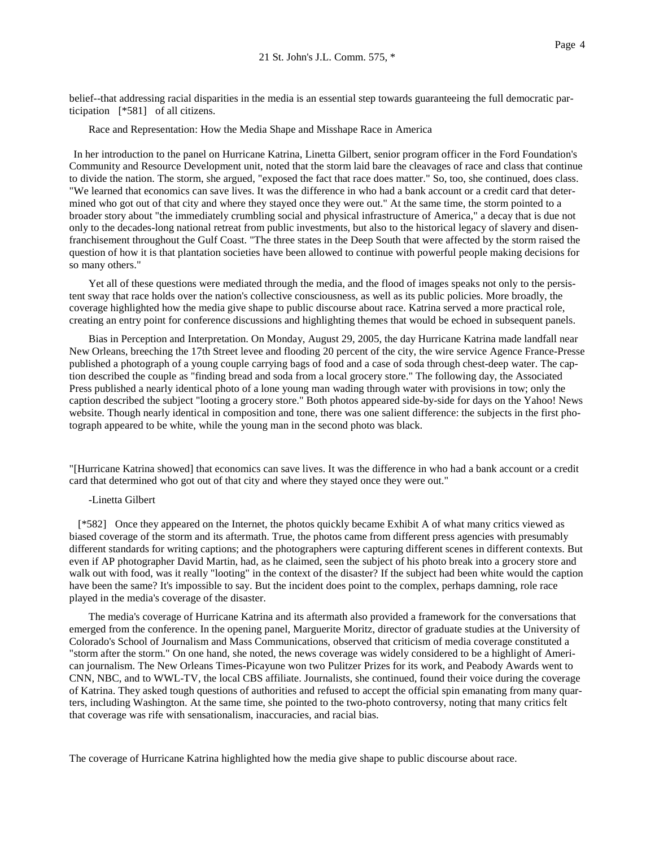belief--that addressing racial disparities in the media is an essential step towards guaranteeing the full democratic participation [\*581] of all citizens.

Race and Representation: How the Media Shape and Misshape Race in America

In her introduction to the panel on Hurricane Katrina, Linetta Gilbert, senior program officer in the Ford Foundation's Community and Resource Development unit, noted that the storm laid bare the cleavages of race and class that continue to divide the nation. The storm, she argued, "exposed the fact that race does matter." So, too, she continued, does class. "We learned that economics can save lives. It was the difference in who had a bank account or a credit card that determined who got out of that city and where they stayed once they were out." At the same time, the storm pointed to a broader story about "the immediately crumbling social and physical infrastructure of America," a decay that is due not only to the decades-long national retreat from public investments, but also to the historical legacy of slavery and disenfranchisement throughout the Gulf Coast. "The three states in the Deep South that were affected by the storm raised the question of how it is that plantation societies have been allowed to continue with powerful people making decisions for so many others."

Yet all of these questions were mediated through the media, and the flood of images speaks not only to the persistent sway that race holds over the nation's collective consciousness, as well as its public policies. More broadly, the coverage highlighted how the media give shape to public discourse about race. Katrina served a more practical role, creating an entry point for conference discussions and highlighting themes that would be echoed in subsequent panels.

Bias in Perception and Interpretation. On Monday, August 29, 2005, the day Hurricane Katrina made landfall near New Orleans, breeching the 17th Street levee and flooding 20 percent of the city, the wire service Agence France-Presse published a photograph of a young couple carrying bags of food and a case of soda through chest-deep water. The caption described the couple as "finding bread and soda from a local grocery store." The following day, the Associated Press published a nearly identical photo of a lone young man wading through water with provisions in tow; only the caption described the subject "looting a grocery store." Both photos appeared side-by-side for days on the Yahoo! News website. Though nearly identical in composition and tone, there was one salient difference: the subjects in the first photograph appeared to be white, while the young man in the second photo was black.

"[Hurricane Katrina showed] that economics can save lives. It was the difference in who had a bank account or a credit card that determined who got out of that city and where they stayed once they were out."

-Linetta Gilbert

 [\*582] Once they appeared on the Internet, the photos quickly became Exhibit A of what many critics viewed as biased coverage of the storm and its aftermath. True, the photos came from different press agencies with presumably different standards for writing captions; and the photographers were capturing different scenes in different contexts. But even if AP photographer David Martin, had, as he claimed, seen the subject of his photo break into a grocery store and walk out with food, was it really "looting" in the context of the disaster? If the subject had been white would the caption have been the same? It's impossible to say. But the incident does point to the complex, perhaps damning, role race played in the media's coverage of the disaster.

The media's coverage of Hurricane Katrina and its aftermath also provided a framework for the conversations that emerged from the conference. In the opening panel, Marguerite Moritz, director of graduate studies at the University of Colorado's School of Journalism and Mass Communications, observed that criticism of media coverage constituted a "storm after the storm." On one hand, she noted, the news coverage was widely considered to be a highlight of American journalism. The New Orleans Times-Picayune won two Pulitzer Prizes for its work, and Peabody Awards went to CNN, NBC, and to WWL-TV, the local CBS affiliate. Journalists, she continued, found their voice during the coverage of Katrina. They asked tough questions of authorities and refused to accept the official spin emanating from many quarters, including Washington. At the same time, she pointed to the two-photo controversy, noting that many critics felt that coverage was rife with sensationalism, inaccuracies, and racial bias.

The coverage of Hurricane Katrina highlighted how the media give shape to public discourse about race.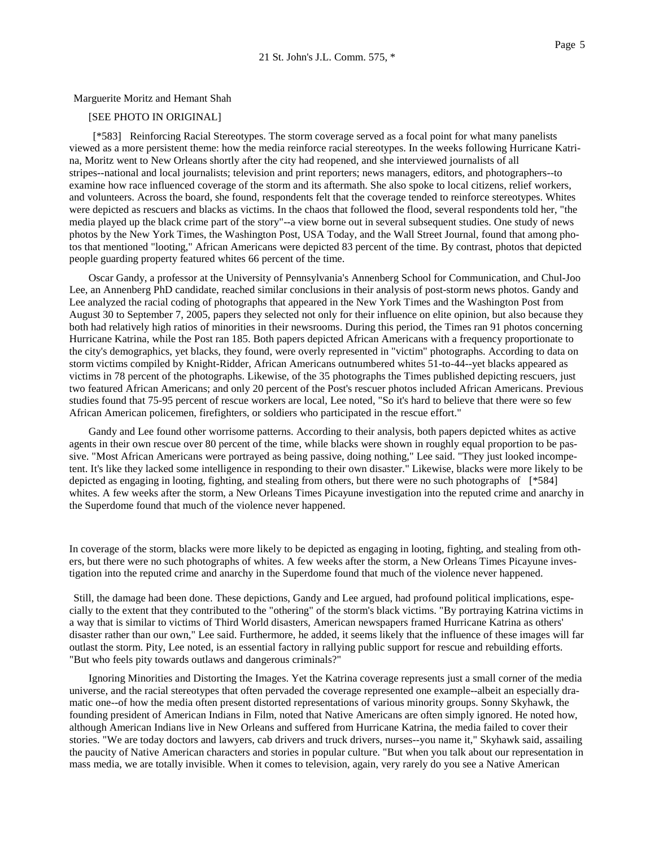## Marguerite Moritz and Hemant Shah

# [SEE PHOTO IN ORIGINAL]

[\*583] Reinforcing Racial Stereotypes. The storm coverage served as a focal point for what many panelists viewed as a more persistent theme: how the media reinforce racial stereotypes. In the weeks following Hurricane Katrina, Moritz went to New Orleans shortly after the city had reopened, and she interviewed journalists of all stripes--national and local journalists; television and print reporters; news managers, editors, and photographers--to examine how race influenced coverage of the storm and its aftermath. She also spoke to local citizens, relief workers, and volunteers. Across the board, she found, respondents felt that the coverage tended to reinforce stereotypes. Whites were depicted as rescuers and blacks as victims. In the chaos that followed the flood, several respondents told her, "the media played up the black crime part of the story"--a view borne out in several subsequent studies. One study of news photos by the New York Times, the Washington Post, USA Today, and the Wall Street Journal, found that among photos that mentioned "looting," African Americans were depicted 83 percent of the time. By contrast, photos that depicted people guarding property featured whites 66 percent of the time.

Oscar Gandy, a professor at the University of Pennsylvania's Annenberg School for Communication, and Chul-Joo Lee, an Annenberg PhD candidate, reached similar conclusions in their analysis of post-storm news photos. Gandy and Lee analyzed the racial coding of photographs that appeared in the New York Times and the Washington Post from August 30 to September 7, 2005, papers they selected not only for their influence on elite opinion, but also because they both had relatively high ratios of minorities in their newsrooms. During this period, the Times ran 91 photos concerning Hurricane Katrina, while the Post ran 185. Both papers depicted African Americans with a frequency proportionate to the city's demographics, yet blacks, they found, were overly represented in "victim" photographs. According to data on storm victims compiled by Knight-Ridder, African Americans outnumbered whites 51-to-44--yet blacks appeared as victims in 78 percent of the photographs. Likewise, of the 35 photographs the Times published depicting rescuers, just two featured African Americans; and only 20 percent of the Post's rescuer photos included African Americans. Previous studies found that 75-95 percent of rescue workers are local, Lee noted, "So it's hard to believe that there were so few African American policemen, firefighters, or soldiers who participated in the rescue effort."

Gandy and Lee found other worrisome patterns. According to their analysis, both papers depicted whites as active agents in their own rescue over 80 percent of the time, while blacks were shown in roughly equal proportion to be passive. "Most African Americans were portrayed as being passive, doing nothing," Lee said. "They just looked incompetent. It's like they lacked some intelligence in responding to their own disaster." Likewise, blacks were more likely to be depicted as engaging in looting, fighting, and stealing from others, but there were no such photographs of [\*584] whites. A few weeks after the storm, a New Orleans Times Picayune investigation into the reputed crime and anarchy in the Superdome found that much of the violence never happened.

In coverage of the storm, blacks were more likely to be depicted as engaging in looting, fighting, and stealing from others, but there were no such photographs of whites. A few weeks after the storm, a New Orleans Times Picayune investigation into the reputed crime and anarchy in the Superdome found that much of the violence never happened.

Still, the damage had been done. These depictions, Gandy and Lee argued, had profound political implications, especially to the extent that they contributed to the "othering" of the storm's black victims. "By portraying Katrina victims in a way that is similar to victims of Third World disasters, American newspapers framed Hurricane Katrina as others' disaster rather than our own," Lee said. Furthermore, he added, it seems likely that the influence of these images will far outlast the storm. Pity, Lee noted, is an essential factory in rallying public support for rescue and rebuilding efforts. "But who feels pity towards outlaws and dangerous criminals?"

Ignoring Minorities and Distorting the Images. Yet the Katrina coverage represents just a small corner of the media universe, and the racial stereotypes that often pervaded the coverage represented one example--albeit an especially dramatic one--of how the media often present distorted representations of various minority groups. Sonny Skyhawk, the founding president of American Indians in Film, noted that Native Americans are often simply ignored. He noted how, although American Indians live in New Orleans and suffered from Hurricane Katrina, the media failed to cover their stories. "We are today doctors and lawyers, cab drivers and truck drivers, nurses--you name it," Skyhawk said, assailing the paucity of Native American characters and stories in popular culture. "But when you talk about our representation in mass media, we are totally invisible. When it comes to television, again, very rarely do you see a Native American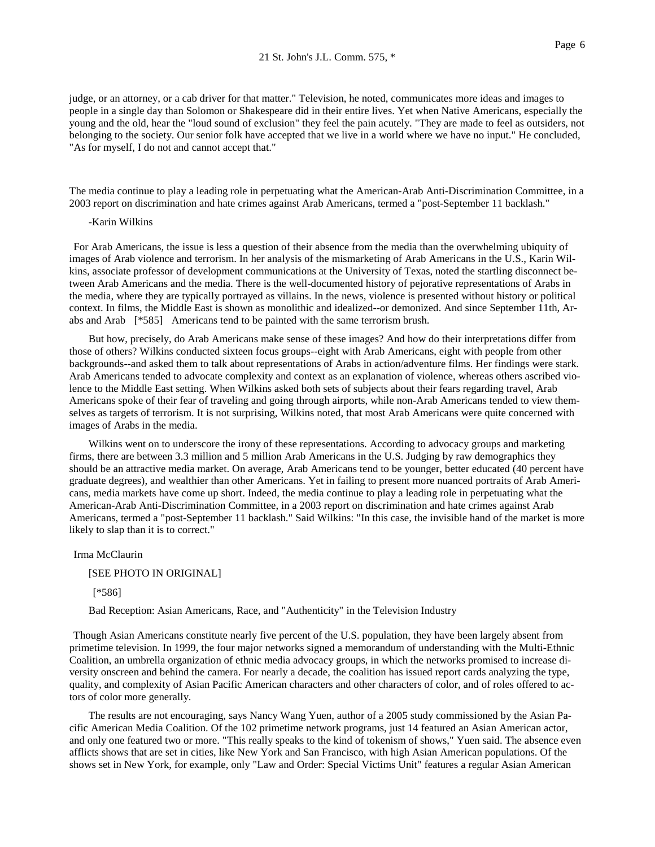judge, or an attorney, or a cab driver for that matter." Television, he noted, communicates more ideas and images to people in a single day than Solomon or Shakespeare did in their entire lives. Yet when Native Americans, especially the young and the old, hear the "loud sound of exclusion" they feel the pain acutely. "They are made to feel as outsiders, not belonging to the society. Our senior folk have accepted that we live in a world where we have no input." He concluded, "As for myself, I do not and cannot accept that."

The media continue to play a leading role in perpetuating what the American-Arab Anti-Discrimination Committee, in a 2003 report on discrimination and hate crimes against Arab Americans, termed a "post-September 11 backlash."

#### -Karin Wilkins

For Arab Americans, the issue is less a question of their absence from the media than the overwhelming ubiquity of images of Arab violence and terrorism. In her analysis of the mismarketing of Arab Americans in the U.S., Karin Wilkins, associate professor of development communications at the University of Texas, noted the startling disconnect between Arab Americans and the media. There is the well-documented history of pejorative representations of Arabs in the media, where they are typically portrayed as villains. In the news, violence is presented without history or political context. In films, the Middle East is shown as monolithic and idealized--or demonized. And since September 11th, Arabs and Arab [\*585] Americans tend to be painted with the same terrorism brush.

But how, precisely, do Arab Americans make sense of these images? And how do their interpretations differ from those of others? Wilkins conducted sixteen focus groups--eight with Arab Americans, eight with people from other backgrounds--and asked them to talk about representations of Arabs in action/adventure films. Her findings were stark. Arab Americans tended to advocate complexity and context as an explanation of violence, whereas others ascribed violence to the Middle East setting. When Wilkins asked both sets of subjects about their fears regarding travel, Arab Americans spoke of their fear of traveling and going through airports, while non-Arab Americans tended to view themselves as targets of terrorism. It is not surprising, Wilkins noted, that most Arab Americans were quite concerned with images of Arabs in the media.

Wilkins went on to underscore the irony of these representations. According to advocacy groups and marketing firms, there are between 3.3 million and 5 million Arab Americans in the U.S. Judging by raw demographics they should be an attractive media market. On average, Arab Americans tend to be younger, better educated (40 percent have graduate degrees), and wealthier than other Americans. Yet in failing to present more nuanced portraits of Arab Americans, media markets have come up short. Indeed, the media continue to play a leading role in perpetuating what the American-Arab Anti-Discrimination Committee, in a 2003 report on discrimination and hate crimes against Arab Americans, termed a "post-September 11 backlash." Said Wilkins: "In this case, the invisible hand of the market is more likely to slap than it is to correct."

## Irma McClaurin

#### [SEE PHOTO IN ORIGINAL]

# [\*586]

Bad Reception: Asian Americans, Race, and "Authenticity" in the Television Industry

Though Asian Americans constitute nearly five percent of the U.S. population, they have been largely absent from primetime television. In 1999, the four major networks signed a memorandum of understanding with the Multi-Ethnic Coalition, an umbrella organization of ethnic media advocacy groups, in which the networks promised to increase diversity onscreen and behind the camera. For nearly a decade, the coalition has issued report cards analyzing the type, quality, and complexity of Asian Pacific American characters and other characters of color, and of roles offered to actors of color more generally.

The results are not encouraging, says Nancy Wang Yuen, author of a 2005 study commissioned by the Asian Pacific American Media Coalition. Of the 102 primetime network programs, just 14 featured an Asian American actor, and only one featured two or more. "This really speaks to the kind of tokenism of shows," Yuen said. The absence even afflicts shows that are set in cities, like New York and San Francisco, with high Asian American populations. Of the shows set in New York, for example, only "Law and Order: Special Victims Unit" features a regular Asian American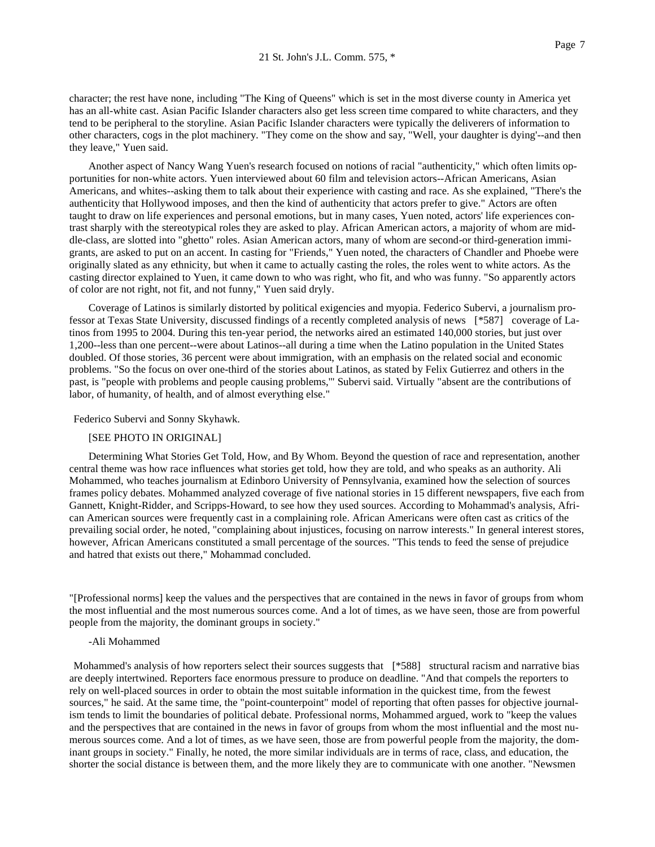character; the rest have none, including "The King of Queens" which is set in the most diverse county in America yet has an all-white cast. Asian Pacific Islander characters also get less screen time compared to white characters, and they tend to be peripheral to the storyline. Asian Pacific Islander characters were typically the deliverers of information to other characters, cogs in the plot machinery. "They come on the show and say, "Well, your daughter is dying'--and then they leave," Yuen said.

Another aspect of Nancy Wang Yuen's research focused on notions of racial "authenticity," which often limits opportunities for non-white actors. Yuen interviewed about 60 film and television actors--African Americans, Asian Americans, and whites--asking them to talk about their experience with casting and race. As she explained, "There's the authenticity that Hollywood imposes, and then the kind of authenticity that actors prefer to give." Actors are often taught to draw on life experiences and personal emotions, but in many cases, Yuen noted, actors' life experiences contrast sharply with the stereotypical roles they are asked to play. African American actors, a majority of whom are middle-class, are slotted into "ghetto" roles. Asian American actors, many of whom are second-or third-generation immigrants, are asked to put on an accent. In casting for "Friends," Yuen noted, the characters of Chandler and Phoebe were originally slated as any ethnicity, but when it came to actually casting the roles, the roles went to white actors. As the casting director explained to Yuen, it came down to who was right, who fit, and who was funny. "So apparently actors of color are not right, not fit, and not funny," Yuen said dryly.

Coverage of Latinos is similarly distorted by political exigencies and myopia. Federico Subervi, a journalism professor at Texas State University, discussed findings of a recently completed analysis of news [\*587] coverage of Latinos from 1995 to 2004. During this ten-year period, the networks aired an estimated 140,000 stories, but just over 1,200--less than one percent--were about Latinos--all during a time when the Latino population in the United States doubled. Of those stories, 36 percent were about immigration, with an emphasis on the related social and economic problems. "So the focus on over one-third of the stories about Latinos, as stated by Felix Gutierrez and others in the past, is "people with problems and people causing problems,'" Subervi said. Virtually "absent are the contributions of labor, of humanity, of health, and of almost everything else."

Federico Subervi and Sonny Skyhawk.

### [SEE PHOTO IN ORIGINAL]

Determining What Stories Get Told, How, and By Whom. Beyond the question of race and representation, another central theme was how race influences what stories get told, how they are told, and who speaks as an authority. Ali Mohammed, who teaches journalism at Edinboro University of Pennsylvania, examined how the selection of sources frames policy debates. Mohammed analyzed coverage of five national stories in 15 different newspapers, five each from Gannett, Knight-Ridder, and Scripps-Howard, to see how they used sources. According to Mohammad's analysis, African American sources were frequently cast in a complaining role. African Americans were often cast as critics of the prevailing social order, he noted, "complaining about injustices, focusing on narrow interests." In general interest stores, however, African Americans constituted a small percentage of the sources. "This tends to feed the sense of prejudice and hatred that exists out there," Mohammad concluded.

"[Professional norms] keep the values and the perspectives that are contained in the news in favor of groups from whom the most influential and the most numerous sources come. And a lot of times, as we have seen, those are from powerful people from the majority, the dominant groups in society."

#### -Ali Mohammed

Mohammed's analysis of how reporters select their sources suggests that [\*588] structural racism and narrative bias are deeply intertwined. Reporters face enormous pressure to produce on deadline. "And that compels the reporters to rely on well-placed sources in order to obtain the most suitable information in the quickest time, from the fewest sources," he said. At the same time, the "point-counterpoint" model of reporting that often passes for objective journalism tends to limit the boundaries of political debate. Professional norms, Mohammed argued, work to "keep the values and the perspectives that are contained in the news in favor of groups from whom the most influential and the most numerous sources come. And a lot of times, as we have seen, those are from powerful people from the majority, the dominant groups in society." Finally, he noted, the more similar individuals are in terms of race, class, and education, the shorter the social distance is between them, and the more likely they are to communicate with one another. "Newsmen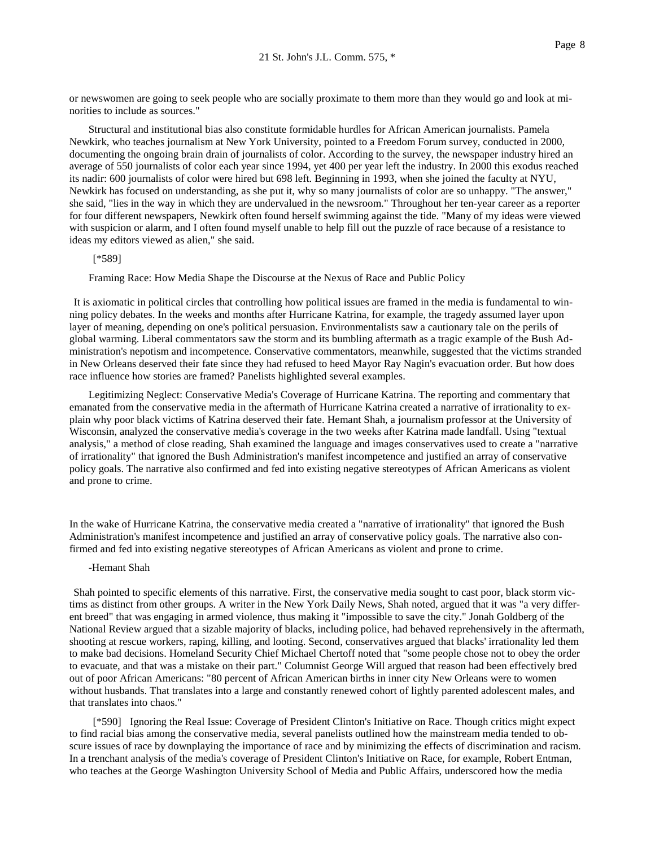or newswomen are going to seek people who are socially proximate to them more than they would go and look at minorities to include as sources."

Structural and institutional bias also constitute formidable hurdles for African American journalists. Pamela Newkirk, who teaches journalism at New York University, pointed to a Freedom Forum survey, conducted in 2000, documenting the ongoing brain drain of journalists of color. According to the survey, the newspaper industry hired an average of 550 journalists of color each year since 1994, yet 400 per year left the industry. In 2000 this exodus reached its nadir: 600 journalists of color were hired but 698 left. Beginning in 1993, when she joined the faculty at NYU, Newkirk has focused on understanding, as she put it, why so many journalists of color are so unhappy. "The answer," she said, "lies in the way in which they are undervalued in the newsroom." Throughout her ten-year career as a reporter for four different newspapers, Newkirk often found herself swimming against the tide. "Many of my ideas were viewed with suspicion or alarm, and I often found myself unable to help fill out the puzzle of race because of a resistance to ideas my editors viewed as alien," she said.

#### [\*589]

Framing Race: How Media Shape the Discourse at the Nexus of Race and Public Policy

It is axiomatic in political circles that controlling how political issues are framed in the media is fundamental to winning policy debates. In the weeks and months after Hurricane Katrina, for example, the tragedy assumed layer upon layer of meaning, depending on one's political persuasion. Environmentalists saw a cautionary tale on the perils of global warming. Liberal commentators saw the storm and its bumbling aftermath as a tragic example of the Bush Administration's nepotism and incompetence. Conservative commentators, meanwhile, suggested that the victims stranded in New Orleans deserved their fate since they had refused to heed Mayor Ray Nagin's evacuation order. But how does race influence how stories are framed? Panelists highlighted several examples.

Legitimizing Neglect: Conservative Media's Coverage of Hurricane Katrina. The reporting and commentary that emanated from the conservative media in the aftermath of Hurricane Katrina created a narrative of irrationality to explain why poor black victims of Katrina deserved their fate. Hemant Shah, a journalism professor at the University of Wisconsin, analyzed the conservative media's coverage in the two weeks after Katrina made landfall. Using "textual analysis," a method of close reading, Shah examined the language and images conservatives used to create a "narrative of irrationality" that ignored the Bush Administration's manifest incompetence and justified an array of conservative policy goals. The narrative also confirmed and fed into existing negative stereotypes of African Americans as violent and prone to crime.

In the wake of Hurricane Katrina, the conservative media created a "narrative of irrationality" that ignored the Bush Administration's manifest incompetence and justified an array of conservative policy goals. The narrative also confirmed and fed into existing negative stereotypes of African Americans as violent and prone to crime.

### -Hemant Shah

Shah pointed to specific elements of this narrative. First, the conservative media sought to cast poor, black storm victims as distinct from other groups. A writer in the New York Daily News, Shah noted, argued that it was "a very different breed" that was engaging in armed violence, thus making it "impossible to save the city." Jonah Goldberg of the National Review argued that a sizable majority of blacks, including police, had behaved reprehensively in the aftermath, shooting at rescue workers, raping, killing, and looting. Second, conservatives argued that blacks' irrationality led them to make bad decisions. Homeland Security Chief Michael Chertoff noted that "some people chose not to obey the order to evacuate, and that was a mistake on their part." Columnist George Will argued that reason had been effectively bred out of poor African Americans: "80 percent of African American births in inner city New Orleans were to women without husbands. That translates into a large and constantly renewed cohort of lightly parented adolescent males, and that translates into chaos."

[\*590] Ignoring the Real Issue: Coverage of President Clinton's Initiative on Race. Though critics might expect to find racial bias among the conservative media, several panelists outlined how the mainstream media tended to obscure issues of race by downplaying the importance of race and by minimizing the effects of discrimination and racism. In a trenchant analysis of the media's coverage of President Clinton's Initiative on Race, for example, Robert Entman, who teaches at the George Washington University School of Media and Public Affairs, underscored how the media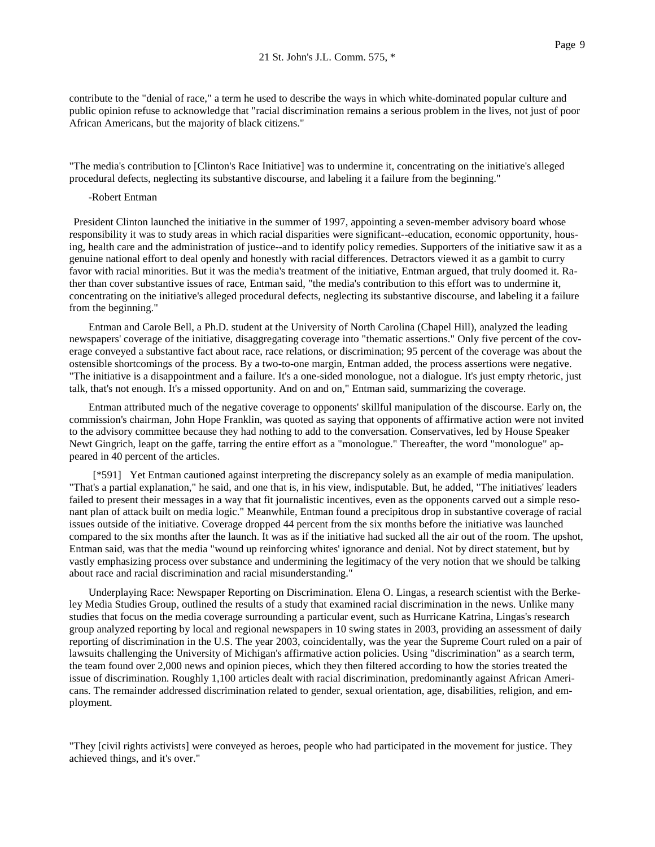contribute to the "denial of race," a term he used to describe the ways in which white-dominated popular culture and public opinion refuse to acknowledge that "racial discrimination remains a serious problem in the lives, not just of poor African Americans, but the majority of black citizens."

"The media's contribution to [Clinton's Race Initiative] was to undermine it, concentrating on the initiative's alleged procedural defects, neglecting its substantive discourse, and labeling it a failure from the beginning."

#### -Robert Entman

President Clinton launched the initiative in the summer of 1997, appointing a seven-member advisory board whose responsibility it was to study areas in which racial disparities were significant--education, economic opportunity, housing, health care and the administration of justice--and to identify policy remedies. Supporters of the initiative saw it as a genuine national effort to deal openly and honestly with racial differences. Detractors viewed it as a gambit to curry favor with racial minorities. But it was the media's treatment of the initiative, Entman argued, that truly doomed it. Rather than cover substantive issues of race, Entman said, "the media's contribution to this effort was to undermine it, concentrating on the initiative's alleged procedural defects, neglecting its substantive discourse, and labeling it a failure from the beginning."

Entman and Carole Bell, a Ph.D. student at the University of North Carolina (Chapel Hill), analyzed the leading newspapers' coverage of the initiative, disaggregating coverage into "thematic assertions." Only five percent of the coverage conveyed a substantive fact about race, race relations, or discrimination; 95 percent of the coverage was about the ostensible shortcomings of the process. By a two-to-one margin, Entman added, the process assertions were negative. "The initiative is a disappointment and a failure. It's a one-sided monologue, not a dialogue. It's just empty rhetoric, just talk, that's not enough. It's a missed opportunity. And on and on," Entman said, summarizing the coverage.

Entman attributed much of the negative coverage to opponents' skillful manipulation of the discourse. Early on, the commission's chairman, John Hope Franklin, was quoted as saying that opponents of affirmative action were not invited to the advisory committee because they had nothing to add to the conversation. Conservatives, led by House Speaker Newt Gingrich, leapt on the gaffe, tarring the entire effort as a "monologue." Thereafter, the word "monologue" appeared in 40 percent of the articles.

[\*591] Yet Entman cautioned against interpreting the discrepancy solely as an example of media manipulation. "That's a partial explanation," he said, and one that is, in his view, indisputable. But, he added, "The initiatives' leaders failed to present their messages in a way that fit journalistic incentives, even as the opponents carved out a simple resonant plan of attack built on media logic." Meanwhile, Entman found a precipitous drop in substantive coverage of racial issues outside of the initiative. Coverage dropped 44 percent from the six months before the initiative was launched compared to the six months after the launch. It was as if the initiative had sucked all the air out of the room. The upshot, Entman said, was that the media "wound up reinforcing whites' ignorance and denial. Not by direct statement, but by vastly emphasizing process over substance and undermining the legitimacy of the very notion that we should be talking about race and racial discrimination and racial misunderstanding."

Underplaying Race: Newspaper Reporting on Discrimination. Elena O. Lingas, a research scientist with the Berkeley Media Studies Group, outlined the results of a study that examined racial discrimination in the news. Unlike many studies that focus on the media coverage surrounding a particular event, such as Hurricane Katrina, Lingas's research group analyzed reporting by local and regional newspapers in 10 swing states in 2003, providing an assessment of daily reporting of discrimination in the U.S. The year 2003, coincidentally, was the year the Supreme Court ruled on a pair of lawsuits challenging the University of Michigan's affirmative action policies. Using "discrimination" as a search term, the team found over 2,000 news and opinion pieces, which they then filtered according to how the stories treated the issue of discrimination. Roughly 1,100 articles dealt with racial discrimination, predominantly against African Americans. The remainder addressed discrimination related to gender, sexual orientation, age, disabilities, religion, and employment.

"They [civil rights activists] were conveyed as heroes, people who had participated in the movement for justice. They achieved things, and it's over."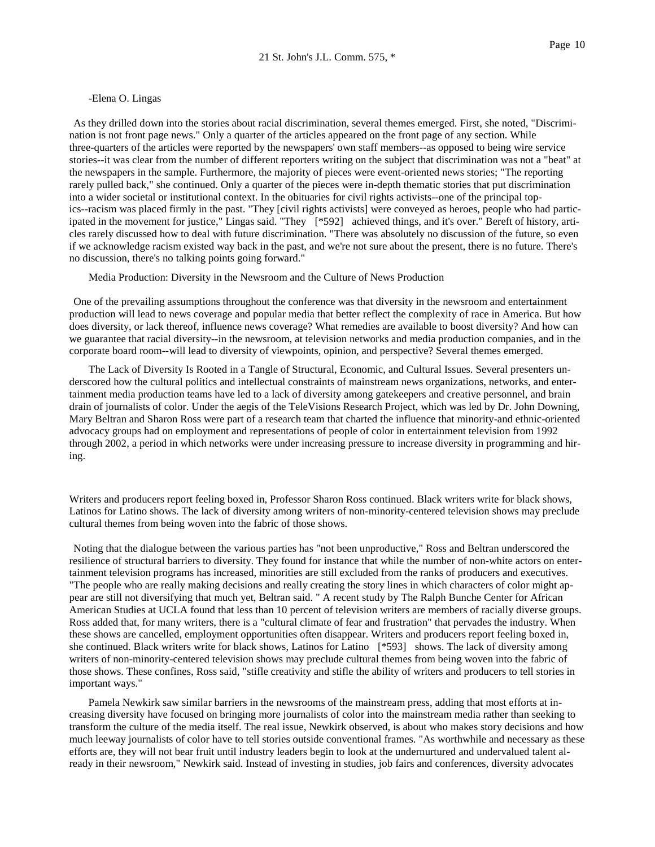#### -Elena O. Lingas

As they drilled down into the stories about racial discrimination, several themes emerged. First, she noted, "Discrimination is not front page news." Only a quarter of the articles appeared on the front page of any section. While three-quarters of the articles were reported by the newspapers' own staff members--as opposed to being wire service stories--it was clear from the number of different reporters writing on the subject that discrimination was not a "beat" at the newspapers in the sample. Furthermore, the majority of pieces were event-oriented news stories; "The reporting rarely pulled back," she continued. Only a quarter of the pieces were in-depth thematic stories that put discrimination into a wider societal or institutional context. In the obituaries for civil rights activists--one of the principal topics--racism was placed firmly in the past. "They [civil rights activists] were conveyed as heroes, people who had participated in the movement for justice," Lingas said. "They [\*592] achieved things, and it's over." Bereft of history, articles rarely discussed how to deal with future discrimination. "There was absolutely no discussion of the future, so even if we acknowledge racism existed way back in the past, and we're not sure about the present, there is no future. There's no discussion, there's no talking points going forward."

Media Production: Diversity in the Newsroom and the Culture of News Production

One of the prevailing assumptions throughout the conference was that diversity in the newsroom and entertainment production will lead to news coverage and popular media that better reflect the complexity of race in America. But how does diversity, or lack thereof, influence news coverage? What remedies are available to boost diversity? And how can we guarantee that racial diversity--in the newsroom, at television networks and media production companies, and in the corporate board room--will lead to diversity of viewpoints, opinion, and perspective? Several themes emerged.

The Lack of Diversity Is Rooted in a Tangle of Structural, Economic, and Cultural Issues. Several presenters underscored how the cultural politics and intellectual constraints of mainstream news organizations, networks, and entertainment media production teams have led to a lack of diversity among gatekeepers and creative personnel, and brain drain of journalists of color. Under the aegis of the TeleVisions Research Project, which was led by Dr. John Downing, Mary Beltran and Sharon Ross were part of a research team that charted the influence that minority-and ethnic-oriented advocacy groups had on employment and representations of people of color in entertainment television from 1992 through 2002, a period in which networks were under increasing pressure to increase diversity in programming and hiring.

Writers and producers report feeling boxed in, Professor Sharon Ross continued. Black writers write for black shows, Latinos for Latino shows. The lack of diversity among writers of non-minority-centered television shows may preclude cultural themes from being woven into the fabric of those shows.

Noting that the dialogue between the various parties has "not been unproductive," Ross and Beltran underscored the resilience of structural barriers to diversity. They found for instance that while the number of non-white actors on entertainment television programs has increased, minorities are still excluded from the ranks of producers and executives. "The people who are really making decisions and really creating the story lines in which characters of color might appear are still not diversifying that much yet, Beltran said. " A recent study by The Ralph Bunche Center for African American Studies at UCLA found that less than 10 percent of television writers are members of racially diverse groups. Ross added that, for many writers, there is a "cultural climate of fear and frustration" that pervades the industry. When these shows are cancelled, employment opportunities often disappear. Writers and producers report feeling boxed in, she continued. Black writers write for black shows, Latinos for Latino [\*593] shows. The lack of diversity among writers of non-minority-centered television shows may preclude cultural themes from being woven into the fabric of those shows. These confines, Ross said, "stifle creativity and stifle the ability of writers and producers to tell stories in important ways."

Pamela Newkirk saw similar barriers in the newsrooms of the mainstream press, adding that most efforts at increasing diversity have focused on bringing more journalists of color into the mainstream media rather than seeking to transform the culture of the media itself. The real issue, Newkirk observed, is about who makes story decisions and how much leeway journalists of color have to tell stories outside conventional frames. "As worthwhile and necessary as these efforts are, they will not bear fruit until industry leaders begin to look at the undernurtured and undervalued talent already in their newsroom," Newkirk said. Instead of investing in studies, job fairs and conferences, diversity advocates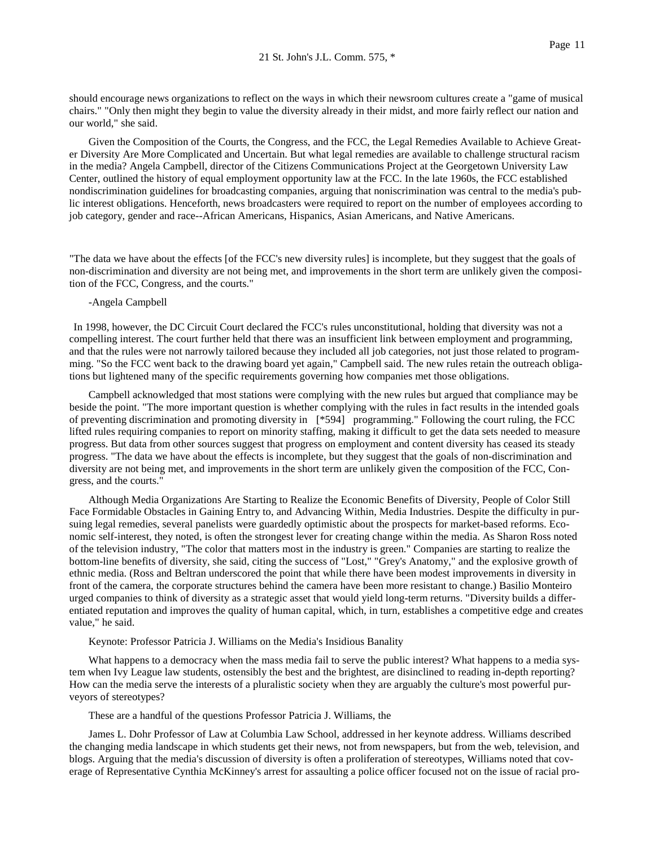should encourage news organizations to reflect on the ways in which their newsroom cultures create a "game of musical chairs." "Only then might they begin to value the diversity already in their midst, and more fairly reflect our nation and our world," she said.

Given the Composition of the Courts, the Congress, and the FCC, the Legal Remedies Available to Achieve Greater Diversity Are More Complicated and Uncertain. But what legal remedies are available to challenge structural racism in the media? Angela Campbell, director of the Citizens Communications Project at the Georgetown University Law Center, outlined the history of equal employment opportunity law at the FCC. In the late 1960s, the FCC established nondiscrimination guidelines for broadcasting companies, arguing that noniscrimination was central to the media's public interest obligations. Henceforth, news broadcasters were required to report on the number of employees according to job category, gender and race--African Americans, Hispanics, Asian Americans, and Native Americans.

"The data we have about the effects [of the FCC's new diversity rules] is incomplete, but they suggest that the goals of non-discrimination and diversity are not being met, and improvements in the short term are unlikely given the composition of the FCC, Congress, and the courts."

## -Angela Campbell

In 1998, however, the DC Circuit Court declared the FCC's rules unconstitutional, holding that diversity was not a compelling interest. The court further held that there was an insufficient link between employment and programming, and that the rules were not narrowly tailored because they included all job categories, not just those related to programming. "So the FCC went back to the drawing board yet again," Campbell said. The new rules retain the outreach obligations but lightened many of the specific requirements governing how companies met those obligations.

Campbell acknowledged that most stations were complying with the new rules but argued that compliance may be beside the point. "The more important question is whether complying with the rules in fact results in the intended goals of preventing discrimination and promoting diversity in [\*594] programming." Following the court ruling, the FCC lifted rules requiring companies to report on minority staffing, making it difficult to get the data sets needed to measure progress. But data from other sources suggest that progress on employment and content diversity has ceased its steady progress. "The data we have about the effects is incomplete, but they suggest that the goals of non-discrimination and diversity are not being met, and improvements in the short term are unlikely given the composition of the FCC, Congress, and the courts."

Although Media Organizations Are Starting to Realize the Economic Benefits of Diversity, People of Color Still Face Formidable Obstacles in Gaining Entry to, and Advancing Within, Media Industries. Despite the difficulty in pursuing legal remedies, several panelists were guardedly optimistic about the prospects for market-based reforms. Economic self-interest, they noted, is often the strongest lever for creating change within the media. As Sharon Ross noted of the television industry, "The color that matters most in the industry is green." Companies are starting to realize the bottom-line benefits of diversity, she said, citing the success of "Lost," "Grey's Anatomy," and the explosive growth of ethnic media. (Ross and Beltran underscored the point that while there have been modest improvements in diversity in front of the camera, the corporate structures behind the camera have been more resistant to change.) Basilio Monteiro urged companies to think of diversity as a strategic asset that would yield long-term returns. "Diversity builds a differentiated reputation and improves the quality of human capital, which, in turn, establishes a competitive edge and creates value," he said.

#### Keynote: Professor Patricia J. Williams on the Media's Insidious Banality

What happens to a democracy when the mass media fail to serve the public interest? What happens to a media system when Ivy League law students, ostensibly the best and the brightest, are disinclined to reading in-depth reporting? How can the media serve the interests of a pluralistic society when they are arguably the culture's most powerful purveyors of stereotypes?

These are a handful of the questions Professor Patricia J. Williams, the

James L. Dohr Professor of Law at Columbia Law School, addressed in her keynote address. Williams described the changing media landscape in which students get their news, not from newspapers, but from the web, television, and blogs. Arguing that the media's discussion of diversity is often a proliferation of stereotypes, Williams noted that coverage of Representative Cynthia McKinney's arrest for assaulting a police officer focused not on the issue of racial pro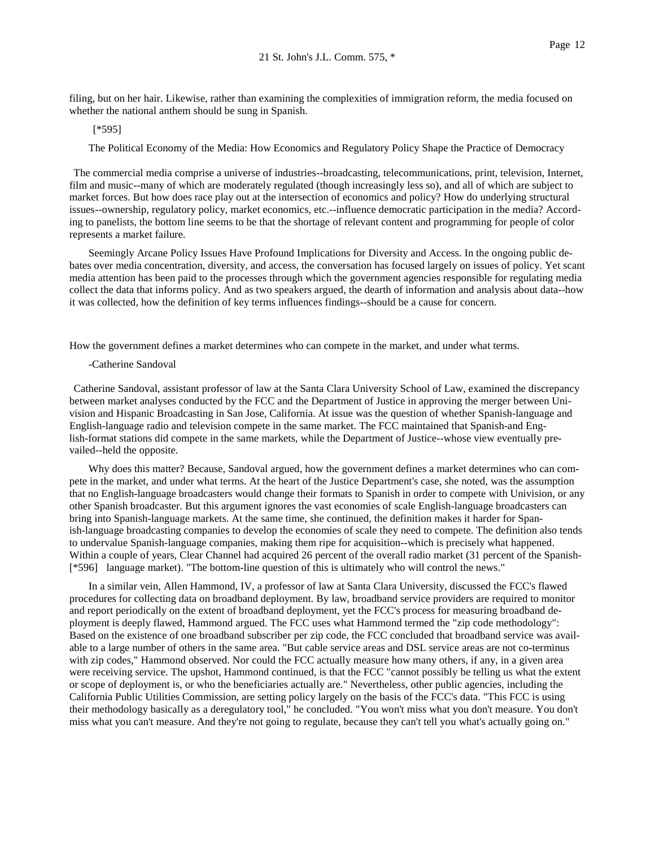filing, but on her hair. Likewise, rather than examining the complexities of immigration reform, the media focused on whether the national anthem should be sung in Spanish.

#### [\*595]

The Political Economy of the Media: How Economics and Regulatory Policy Shape the Practice of Democracy

The commercial media comprise a universe of industries--broadcasting, telecommunications, print, television, Internet, film and music--many of which are moderately regulated (though increasingly less so), and all of which are subject to market forces. But how does race play out at the intersection of economics and policy? How do underlying structural issues--ownership, regulatory policy, market economics, etc.--influence democratic participation in the media? According to panelists, the bottom line seems to be that the shortage of relevant content and programming for people of color represents a market failure.

Seemingly Arcane Policy Issues Have Profound Implications for Diversity and Access. In the ongoing public debates over media concentration, diversity, and access, the conversation has focused largely on issues of policy. Yet scant media attention has been paid to the processes through which the government agencies responsible for regulating media collect the data that informs policy. And as two speakers argued, the dearth of information and analysis about data--how it was collected, how the definition of key terms influences findings--should be a cause for concern.

How the government defines a market determines who can compete in the market, and under what terms.

### -Catherine Sandoval

Catherine Sandoval, assistant professor of law at the Santa Clara University School of Law, examined the discrepancy between market analyses conducted by the FCC and the Department of Justice in approving the merger between Univision and Hispanic Broadcasting in San Jose, California. At issue was the question of whether Spanish-language and English-language radio and television compete in the same market. The FCC maintained that Spanish-and English-format stations did compete in the same markets, while the Department of Justice--whose view eventually prevailed--held the opposite.

Why does this matter? Because, Sandoval argued, how the government defines a market determines who can compete in the market, and under what terms. At the heart of the Justice Department's case, she noted, was the assumption that no English-language broadcasters would change their formats to Spanish in order to compete with Univision, or any other Spanish broadcaster. But this argument ignores the vast economies of scale English-language broadcasters can bring into Spanish-language markets. At the same time, she continued, the definition makes it harder for Spanish-language broadcasting companies to develop the economies of scale they need to compete. The definition also tends to undervalue Spanish-language companies, making them ripe for acquisition--which is precisely what happened. Within a couple of years, Clear Channel had acquired 26 percent of the overall radio market (31 percent of the Spanish- [\*596] language market). "The bottom-line question of this is ultimately who will control the news."

In a similar vein, Allen Hammond, IV, a professor of law at Santa Clara University, discussed the FCC's flawed procedures for collecting data on broadband deployment. By law, broadband service providers are required to monitor and report periodically on the extent of broadband deployment, yet the FCC's process for measuring broadband deployment is deeply flawed, Hammond argued. The FCC uses what Hammond termed the "zip code methodology": Based on the existence of one broadband subscriber per zip code, the FCC concluded that broadband service was available to a large number of others in the same area. "But cable service areas and DSL service areas are not co-terminus with zip codes," Hammond observed. Nor could the FCC actually measure how many others, if any, in a given area were receiving service. The upshot, Hammond continued, is that the FCC "cannot possibly be telling us what the extent or scope of deployment is, or who the beneficiaries actually are." Nevertheless, other public agencies, including the California Public Utilities Commission, are setting policy largely on the basis of the FCC's data. "This FCC is using their methodology basically as a deregulatory tool," he concluded. "You won't miss what you don't measure. You don't miss what you can't measure. And they're not going to regulate, because they can't tell you what's actually going on."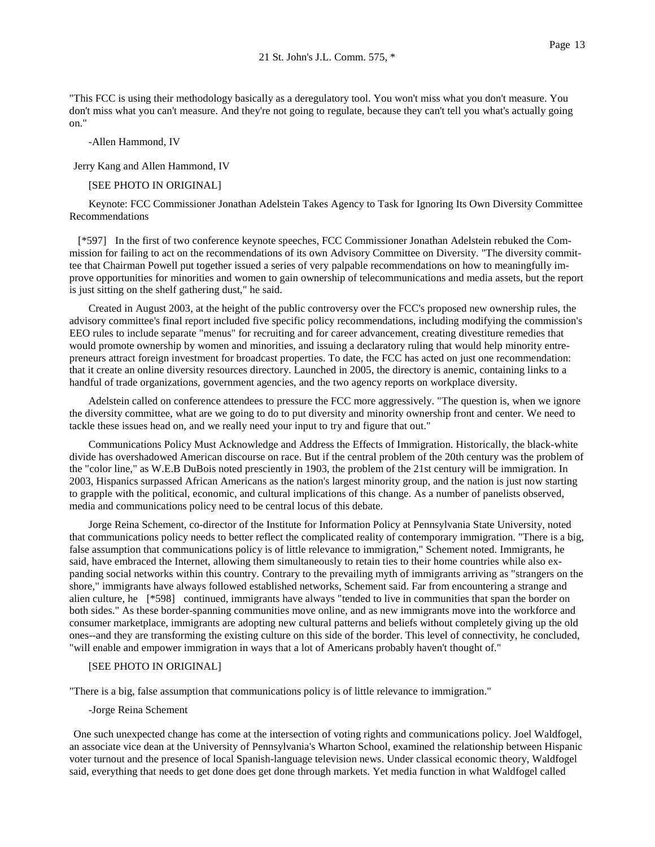-Allen Hammond, IV

Jerry Kang and Allen Hammond, IV

### [SEE PHOTO IN ORIGINAL]

Keynote: FCC Commissioner Jonathan Adelstein Takes Agency to Task for Ignoring Its Own Diversity Committee Recommendations

 [\*597] In the first of two conference keynote speeches, FCC Commissioner Jonathan Adelstein rebuked the Commission for failing to act on the recommendations of its own Advisory Committee on Diversity. "The diversity committee that Chairman Powell put together issued a series of very palpable recommendations on how to meaningfully improve opportunities for minorities and women to gain ownership of telecommunications and media assets, but the report is just sitting on the shelf gathering dust," he said.

Created in August 2003, at the height of the public controversy over the FCC's proposed new ownership rules, the advisory committee's final report included five specific policy recommendations, including modifying the commission's EEO rules to include separate "menus" for recruiting and for career advancement, creating divestiture remedies that would promote ownership by women and minorities, and issuing a declaratory ruling that would help minority entrepreneurs attract foreign investment for broadcast properties. To date, the FCC has acted on just one recommendation: that it create an online diversity resources directory. Launched in 2005, the directory is anemic, containing links to a handful of trade organizations, government agencies, and the two agency reports on workplace diversity.

Adelstein called on conference attendees to pressure the FCC more aggressively. "The question is, when we ignore the diversity committee, what are we going to do to put diversity and minority ownership front and center. We need to tackle these issues head on, and we really need your input to try and figure that out."

Communications Policy Must Acknowledge and Address the Effects of Immigration. Historically, the black-white divide has overshadowed American discourse on race. But if the central problem of the 20th century was the problem of the "color line," as W.E.B DuBois noted presciently in 1903, the problem of the 21st century will be immigration. In 2003, Hispanics surpassed African Americans as the nation's largest minority group, and the nation is just now starting to grapple with the political, economic, and cultural implications of this change. As a number of panelists observed, media and communications policy need to be central locus of this debate.

Jorge Reina Schement, co-director of the Institute for Information Policy at Pennsylvania State University, noted that communications policy needs to better reflect the complicated reality of contemporary immigration. "There is a big, false assumption that communications policy is of little relevance to immigration," Schement noted. Immigrants, he said, have embraced the Internet, allowing them simultaneously to retain ties to their home countries while also expanding social networks within this country. Contrary to the prevailing myth of immigrants arriving as "strangers on the shore," immigrants have always followed established networks, Schement said. Far from encountering a strange and alien culture, he [\*598] continued, immigrants have always "tended to live in communities that span the border on both sides." As these border-spanning communities move online, and as new immigrants move into the workforce and consumer marketplace, immigrants are adopting new cultural patterns and beliefs without completely giving up the old ones--and they are transforming the existing culture on this side of the border. This level of connectivity, he concluded, "will enable and empower immigration in ways that a lot of Americans probably haven't thought of."

## [SEE PHOTO IN ORIGINAL]

"There is a big, false assumption that communications policy is of little relevance to immigration."

#### -Jorge Reina Schement

One such unexpected change has come at the intersection of voting rights and communications policy. Joel Waldfogel, an associate vice dean at the University of Pennsylvania's Wharton School, examined the relationship between Hispanic voter turnout and the presence of local Spanish-language television news. Under classical economic theory, Waldfogel said, everything that needs to get done does get done through markets. Yet media function in what Waldfogel called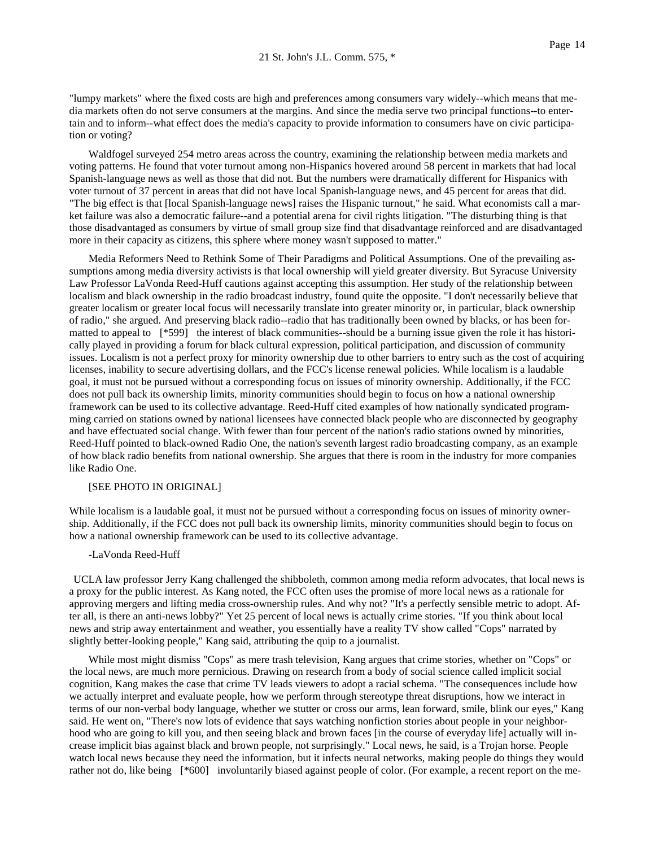"lumpy markets" where the fixed costs are high and preferences among consumers vary widely--which means that media markets often do not serve consumers at the margins. And since the media serve two principal functions--to entertain and to inform--what effect does the media's capacity to provide information to consumers have on civic participation or voting?

Waldfogel surveyed 254 metro areas across the country, examining the relationship between media markets and voting patterns. He found that voter turnout among non-Hispanics hovered around 58 percent in markets that had local Spanish-language news as well as those that did not. But the numbers were dramatically different for Hispanics with voter turnout of 37 percent in areas that did not have local Spanish-language news, and 45 percent for areas that did. "The big effect is that [local Spanish-language news] raises the Hispanic turnout," he said. What economists call a market failure was also a democratic failure--and a potential arena for civil rights litigation. "The disturbing thing is that those disadvantaged as consumers by virtue of small group size find that disadvantage reinforced and are disadvantaged more in their capacity as citizens, this sphere where money wasn't supposed to matter."

Media Reformers Need to Rethink Some of Their Paradigms and Political Assumptions. One of the prevailing assumptions among media diversity activists is that local ownership will yield greater diversity. But Syracuse University Law Professor LaVonda Reed-Huff cautions against accepting this assumption. Her study of the relationship between localism and black ownership in the radio broadcast industry, found quite the opposite. "I don't necessarily believe that greater localism or greater local focus will necessarily translate into greater minority or, in particular, black ownership of radio," she argued. And preserving black radio--radio that has traditionally been owned by blacks, or has been formatted to appeal to [\*599] the interest of black communities--should be a burning issue given the role it has historically played in providing a forum for black cultural expression, political participation, and discussion of community issues. Localism is not a perfect proxy for minority ownership due to other barriers to entry such as the cost of acquiring licenses, inability to secure advertising dollars, and the FCC's license renewal policies. While localism is a laudable goal, it must not be pursued without a corresponding focus on issues of minority ownership. Additionally, if the FCC does not pull back its ownership limits, minority communities should begin to focus on how a national ownership framework can be used to its collective advantage. Reed-Huff cited examples of how nationally syndicated programming carried on stations owned by national licensees have connected black people who are disconnected by geography and have effectuated social change. With fewer than four percent of the nation's radio stations owned by minorities, Reed-Huff pointed to black-owned Radio One, the nation's seventh largest radio broadcasting company, as an example of how black radio benefits from national ownership. She argues that there is room in the industry for more companies like Radio One.

#### [SEE PHOTO IN ORIGINAL]

While localism is a laudable goal, it must not be pursued without a corresponding focus on issues of minority ownership. Additionally, if the FCC does not pull back its ownership limits, minority communities should begin to focus on how a national ownership framework can be used to its collective advantage.

### -LaVonda Reed-Huff

UCLA law professor Jerry Kang challenged the shibboleth, common among media reform advocates, that local news is a proxy for the public interest. As Kang noted, the FCC often uses the promise of more local news as a rationale for approving mergers and lifting media cross-ownership rules. And why not? "It's a perfectly sensible metric to adopt. After all, is there an anti-news lobby?" Yet 25 percent of local news is actually crime stories. "If you think about local news and strip away entertainment and weather, you essentially have a reality TV show called "Cops" narrated by slightly better-looking people," Kang said, attributing the quip to a journalist.

While most might dismiss "Cops" as mere trash television, Kang argues that crime stories, whether on "Cops" or the local news, are much more pernicious. Drawing on research from a body of social science called implicit social cognition, Kang makes the case that crime TV leads viewers to adopt a racial schema. "The consequences include how we actually interpret and evaluate people, how we perform through stereotype threat disruptions, how we interact in terms of our non-verbal body language, whether we stutter or cross our arms, lean forward, smile, blink our eyes," Kang said. He went on, "There's now lots of evidence that says watching nonfiction stories about people in your neighborhood who are going to kill you, and then seeing black and brown faces [in the course of everyday life] actually will increase implicit bias against black and brown people, not surprisingly." Local news, he said, is a Trojan horse. People watch local news because they need the information, but it infects neural networks, making people do things they would rather not do, like being [\*600] involuntarily biased against people of color. (For example, a recent report on the me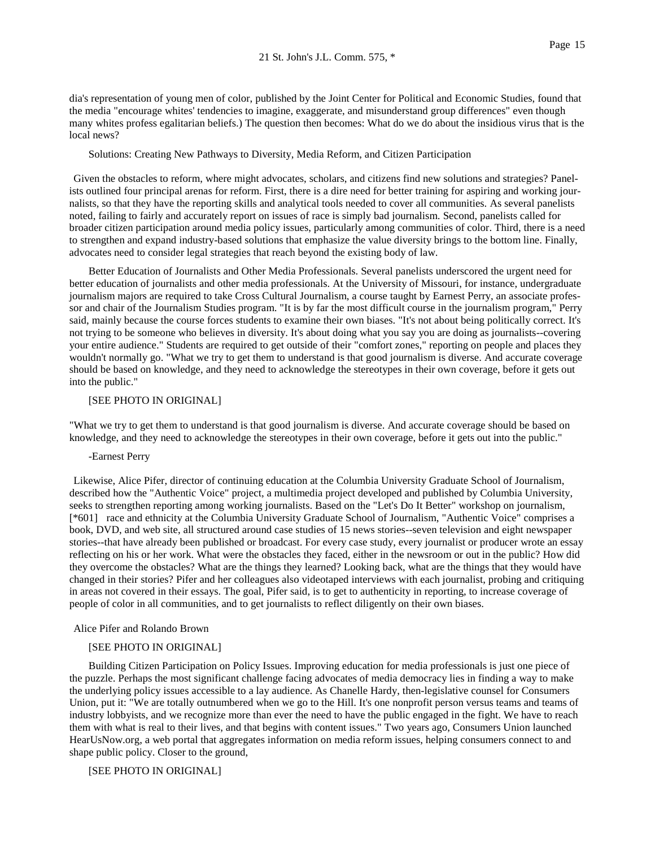dia's representation of young men of color, published by the Joint Center for Political and Economic Studies, found that the media "encourage whites' tendencies to imagine, exaggerate, and misunderstand group differences" even though many whites profess egalitarian beliefs.) The question then becomes: What do we do about the insidious virus that is the local news?

Solutions: Creating New Pathways to Diversity, Media Reform, and Citizen Participation

Given the obstacles to reform, where might advocates, scholars, and citizens find new solutions and strategies? Panelists outlined four principal arenas for reform. First, there is a dire need for better training for aspiring and working journalists, so that they have the reporting skills and analytical tools needed to cover all communities. As several panelists noted, failing to fairly and accurately report on issues of race is simply bad journalism. Second, panelists called for broader citizen participation around media policy issues, particularly among communities of color. Third, there is a need to strengthen and expand industry-based solutions that emphasize the value diversity brings to the bottom line. Finally, advocates need to consider legal strategies that reach beyond the existing body of law.

Better Education of Journalists and Other Media Professionals. Several panelists underscored the urgent need for better education of journalists and other media professionals. At the University of Missouri, for instance, undergraduate journalism majors are required to take Cross Cultural Journalism, a course taught by Earnest Perry, an associate professor and chair of the Journalism Studies program. "It is by far the most difficult course in the journalism program," Perry said, mainly because the course forces students to examine their own biases. "It's not about being politically correct. It's not trying to be someone who believes in diversity. It's about doing what you say you are doing as journalists--covering your entire audience." Students are required to get outside of their "comfort zones," reporting on people and places they wouldn't normally go. "What we try to get them to understand is that good journalism is diverse. And accurate coverage should be based on knowledge, and they need to acknowledge the stereotypes in their own coverage, before it gets out into the public."

## [SEE PHOTO IN ORIGINAL]

"What we try to get them to understand is that good journalism is diverse. And accurate coverage should be based on knowledge, and they need to acknowledge the stereotypes in their own coverage, before it gets out into the public."

-Earnest Perry

Likewise, Alice Pifer, director of continuing education at the Columbia University Graduate School of Journalism, described how the "Authentic Voice" project, a multimedia project developed and published by Columbia University, seeks to strengthen reporting among working journalists. Based on the "Let's Do It Better" workshop on journalism, [\*601] race and ethnicity at the Columbia University Graduate School of Journalism, "Authentic Voice" comprises a book, DVD, and web site, all structured around case studies of 15 news stories--seven television and eight newspaper stories--that have already been published or broadcast. For every case study, every journalist or producer wrote an essay reflecting on his or her work. What were the obstacles they faced, either in the newsroom or out in the public? How did they overcome the obstacles? What are the things they learned? Looking back, what are the things that they would have changed in their stories? Pifer and her colleagues also videotaped interviews with each journalist, probing and critiquing in areas not covered in their essays. The goal, Pifer said, is to get to authenticity in reporting, to increase coverage of people of color in all communities, and to get journalists to reflect diligently on their own biases.

Alice Pifer and Rolando Brown

# [SEE PHOTO IN ORIGINAL]

Building Citizen Participation on Policy Issues. Improving education for media professionals is just one piece of the puzzle. Perhaps the most significant challenge facing advocates of media democracy lies in finding a way to make the underlying policy issues accessible to a lay audience. As Chanelle Hardy, then-legislative counsel for Consumers Union, put it: "We are totally outnumbered when we go to the Hill. It's one nonprofit person versus teams and teams of industry lobbyists, and we recognize more than ever the need to have the public engaged in the fight. We have to reach them with what is real to their lives, and that begins with content issues." Two years ago, Consumers Union launched HearUsNow.org, a web portal that aggregates information on media reform issues, helping consumers connect to and shape public policy. Closer to the ground,

[SEE PHOTO IN ORIGINAL]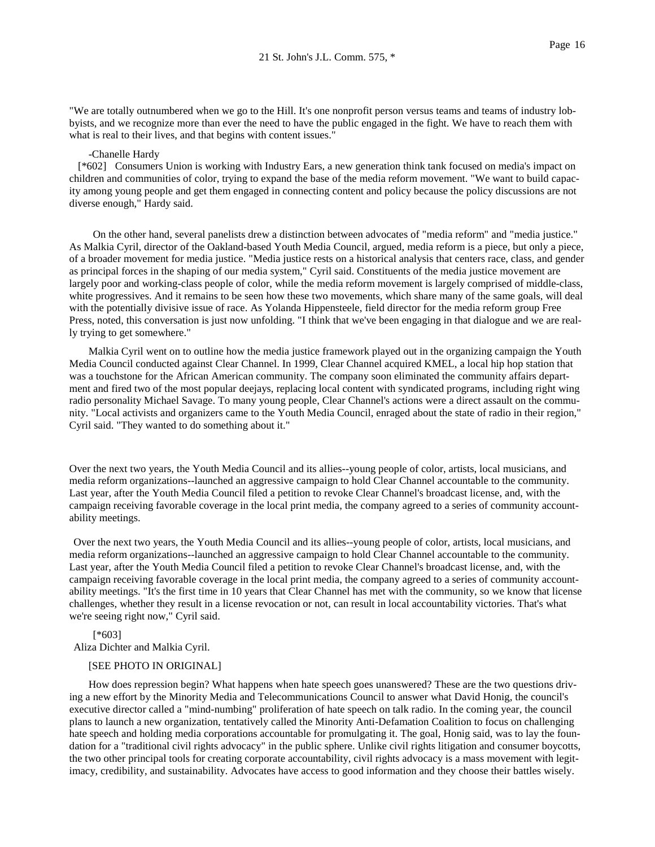"We are totally outnumbered when we go to the Hill. It's one nonprofit person versus teams and teams of industry lobbyists, and we recognize more than ever the need to have the public engaged in the fight. We have to reach them with what is real to their lives, and that begins with content issues."

#### -Chanelle Hardy

 [\*602] Consumers Union is working with Industry Ears, a new generation think tank focused on media's impact on children and communities of color, trying to expand the base of the media reform movement. "We want to build capacity among young people and get them engaged in connecting content and policy because the policy discussions are not diverse enough," Hardy said.

On the other hand, several panelists drew a distinction between advocates of "media reform" and "media justice." As Malkia Cyril, director of the Oakland-based Youth Media Council, argued, media reform is a piece, but only a piece, of a broader movement for media justice. "Media justice rests on a historical analysis that centers race, class, and gender as principal forces in the shaping of our media system," Cyril said. Constituents of the media justice movement are largely poor and working-class people of color, while the media reform movement is largely comprised of middle-class, white progressives. And it remains to be seen how these two movements, which share many of the same goals, will deal with the potentially divisive issue of race. As Yolanda Hippensteele, field director for the media reform group Free Press, noted, this conversation is just now unfolding. "I think that we've been engaging in that dialogue and we are really trying to get somewhere."

Malkia Cyril went on to outline how the media justice framework played out in the organizing campaign the Youth Media Council conducted against Clear Channel. In 1999, Clear Channel acquired KMEL, a local hip hop station that was a touchstone for the African American community. The company soon eliminated the community affairs department and fired two of the most popular deejays, replacing local content with syndicated programs, including right wing radio personality Michael Savage. To many young people, Clear Channel's actions were a direct assault on the community. "Local activists and organizers came to the Youth Media Council, enraged about the state of radio in their region," Cyril said. "They wanted to do something about it."

Over the next two years, the Youth Media Council and its allies--young people of color, artists, local musicians, and media reform organizations--launched an aggressive campaign to hold Clear Channel accountable to the community. Last year, after the Youth Media Council filed a petition to revoke Clear Channel's broadcast license, and, with the campaign receiving favorable coverage in the local print media, the company agreed to a series of community accountability meetings.

Over the next two years, the Youth Media Council and its allies--young people of color, artists, local musicians, and media reform organizations--launched an aggressive campaign to hold Clear Channel accountable to the community. Last year, after the Youth Media Council filed a petition to revoke Clear Channel's broadcast license, and, with the campaign receiving favorable coverage in the local print media, the company agreed to a series of community accountability meetings. "It's the first time in 10 years that Clear Channel has met with the community, so we know that license challenges, whether they result in a license revocation or not, can result in local accountability victories. That's what we're seeing right now," Cyril said.

[\*603] Aliza Dichter and Malkia Cyril.

#### [SEE PHOTO IN ORIGINAL]

How does repression begin? What happens when hate speech goes unanswered? These are the two questions driving a new effort by the Minority Media and Telecommunications Council to answer what David Honig, the council's executive director called a "mind-numbing" proliferation of hate speech on talk radio. In the coming year, the council plans to launch a new organization, tentatively called the Minority Anti-Defamation Coalition to focus on challenging hate speech and holding media corporations accountable for promulgating it. The goal, Honig said, was to lay the foundation for a "traditional civil rights advocacy" in the public sphere. Unlike civil rights litigation and consumer boycotts, the two other principal tools for creating corporate accountability, civil rights advocacy is a mass movement with legitimacy, credibility, and sustainability. Advocates have access to good information and they choose their battles wisely.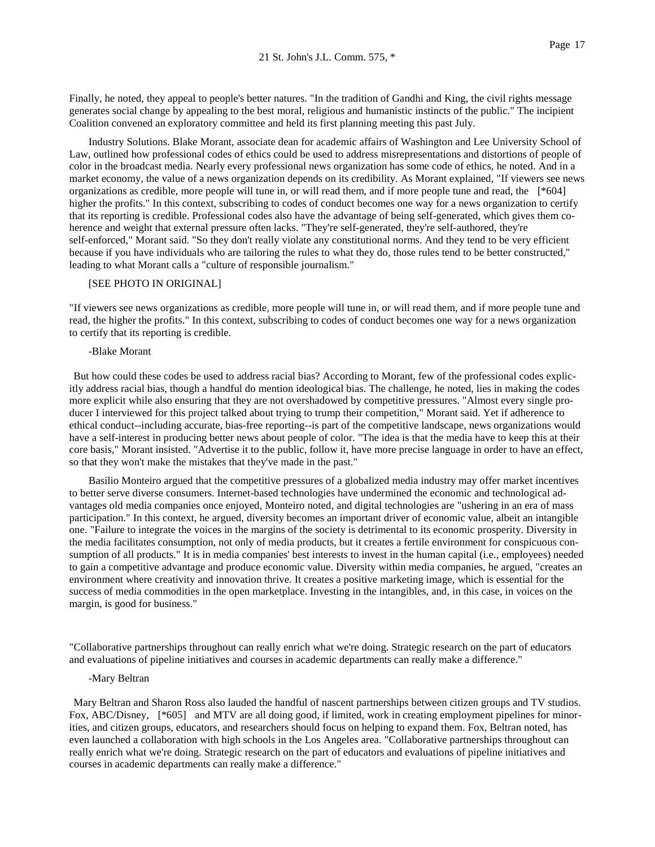Finally, he noted, they appeal to people's better natures. "In the tradition of Gandhi and King, the civil rights message generates social change by appealing to the best moral, religious and humanistic instincts of the public." The incipient Coalition convened an exploratory committee and held its first planning meeting this past July.

Industry Solutions. Blake Morant, associate dean for academic affairs of Washington and Lee University School of Law, outlined how professional codes of ethics could be used to address misrepresentations and distortions of people of color in the broadcast media. Nearly every professional news organization has some code of ethics, he noted. And in a market economy, the value of a news organization depends on its credibility. As Morant explained, "If viewers see news organizations as credible, more people will tune in, or will read them, and if more people tune and read, the [\*604] higher the profits." In this context, subscribing to codes of conduct becomes one way for a news organization to certify that its reporting is credible. Professional codes also have the advantage of being self-generated, which gives them coherence and weight that external pressure often lacks. "They're self-generated, they're self-authored, they're self-enforced," Morant said. "So they don't really violate any constitutional norms. And they tend to be very efficient because if you have individuals who are tailoring the rules to what they do, those rules tend to be better constructed," leading to what Morant calls a "culture of responsible journalism."

# [SEE PHOTO IN ORIGINAL]

"If viewers see news organizations as credible, more people will tune in, or will read them, and if more people tune and read, the higher the profits." In this context, subscribing to codes of conduct becomes one way for a news organization to certify that its reporting is credible.

## -Blake Morant

But how could these codes be used to address racial bias? According to Morant, few of the professional codes explicitly address racial bias, though a handful do mention ideological bias. The challenge, he noted, lies in making the codes more explicit while also ensuring that they are not overshadowed by competitive pressures. "Almost every single producer I interviewed for this project talked about trying to trump their competition," Morant said. Yet if adherence to ethical conduct--including accurate, bias-free reporting--is part of the competitive landscape, news organizations would have a self-interest in producing better news about people of color. "The idea is that the media have to keep this at their core basis," Morant insisted. "Advertise it to the public, follow it, have more precise language in order to have an effect, so that they won't make the mistakes that they've made in the past."

Basilio Monteiro argued that the competitive pressures of a globalized media industry may offer market incentives to better serve diverse consumers. Internet-based technologies have undermined the economic and technological advantages old media companies once enjoyed, Monteiro noted, and digital technologies are "ushering in an era of mass participation." In this context, he argued, diversity becomes an important driver of economic value, albeit an intangible one. "Failure to integrate the voices in the margins of the society is detrimental to its economic prosperity. Diversity in the media facilitates consumption, not only of media products, but it creates a fertile environment for conspicuous consumption of all products." It is in media companies' best interests to invest in the human capital (i.e., employees) needed to gain a competitive advantage and produce economic value. Diversity within media companies, he argued, "creates an environment where creativity and innovation thrive. It creates a positive marketing image, which is essential for the success of media commodities in the open marketplace. Investing in the intangibles, and, in this case, in voices on the margin, is good for business."

"Collaborative partnerships throughout can really enrich what we're doing. Strategic research on the part of educators and evaluations of pipeline initiatives and courses in academic departments can really make a difference."

## -Mary Beltran

Mary Beltran and Sharon Ross also lauded the handful of nascent partnerships between citizen groups and TV studios. Fox, ABC/Disney, [\*605] and MTV are all doing good, if limited, work in creating employment pipelines for minorities, and citizen groups, educators, and researchers should focus on helping to expand them. Fox, Beltran noted, has even launched a collaboration with high schools in the Los Angeles area. "Collaborative partnerships throughout can really enrich what we're doing. Strategic research on the part of educators and evaluations of pipeline initiatives and courses in academic departments can really make a difference."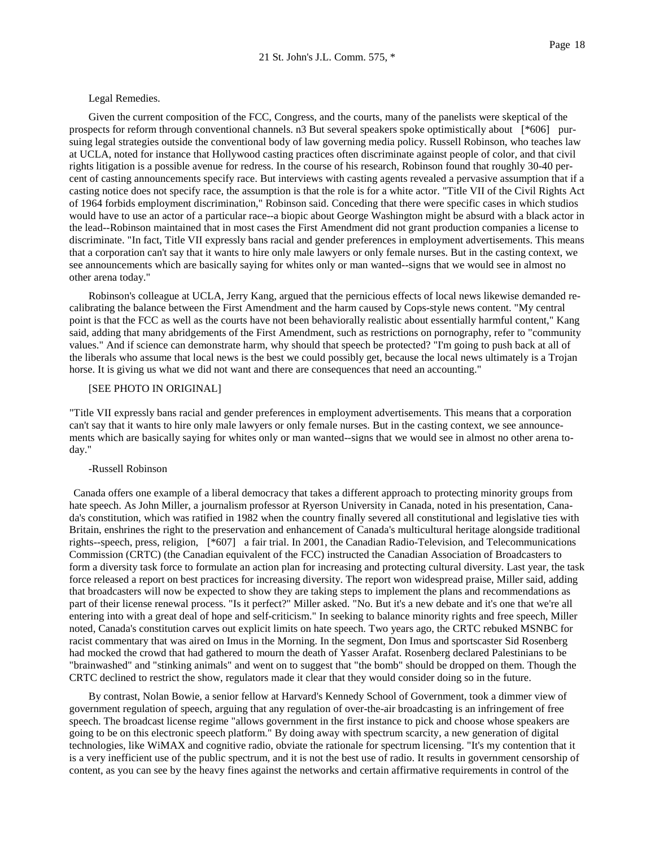#### Legal Remedies.

Given the current composition of the FCC, Congress, and the courts, many of the panelists were skeptical of the prospects for reform through conventional channels. n3 But several speakers spoke optimistically about [\*606] pursuing legal strategies outside the conventional body of law governing media policy. Russell Robinson, who teaches law at UCLA, noted for instance that Hollywood casting practices often discriminate against people of color, and that civil rights litigation is a possible avenue for redress. In the course of his research, Robinson found that roughly 30-40 percent of casting announcements specify race. But interviews with casting agents revealed a pervasive assumption that if a casting notice does not specify race, the assumption is that the role is for a white actor. "Title VII of the Civil Rights Act of 1964 forbids employment discrimination," Robinson said. Conceding that there were specific cases in which studios would have to use an actor of a particular race--a biopic about George Washington might be absurd with a black actor in the lead--Robinson maintained that in most cases the First Amendment did not grant production companies a license to discriminate. "In fact, Title VII expressly bans racial and gender preferences in employment advertisements. This means that a corporation can't say that it wants to hire only male lawyers or only female nurses. But in the casting context, we see announcements which are basically saying for whites only or man wanted--signs that we would see in almost no other arena today."

Robinson's colleague at UCLA, Jerry Kang, argued that the pernicious effects of local news likewise demanded recalibrating the balance between the First Amendment and the harm caused by Cops-style news content. "My central point is that the FCC as well as the courts have not been behaviorally realistic about essentially harmful content," Kang said, adding that many abridgements of the First Amendment, such as restrictions on pornography, refer to "community values." And if science can demonstrate harm, why should that speech be protected? "I'm going to push back at all of the liberals who assume that local news is the best we could possibly get, because the local news ultimately is a Trojan horse. It is giving us what we did not want and there are consequences that need an accounting."

### [SEE PHOTO IN ORIGINAL]

"Title VII expressly bans racial and gender preferences in employment advertisements. This means that a corporation can't say that it wants to hire only male lawyers or only female nurses. But in the casting context, we see announcements which are basically saying for whites only or man wanted--signs that we would see in almost no other arena today."

## -Russell Robinson

Canada offers one example of a liberal democracy that takes a different approach to protecting minority groups from hate speech. As John Miller, a journalism professor at Ryerson University in Canada, noted in his presentation, Canada's constitution, which was ratified in 1982 when the country finally severed all constitutional and legislative ties with Britain, enshrines the right to the preservation and enhancement of Canada's multicultural heritage alongside traditional rights--speech, press, religion, [\*607] a fair trial. In 2001, the Canadian Radio-Television, and Telecommunications Commission (CRTC) (the Canadian equivalent of the FCC) instructed the Canadian Association of Broadcasters to form a diversity task force to formulate an action plan for increasing and protecting cultural diversity. Last year, the task force released a report on best practices for increasing diversity. The report won widespread praise, Miller said, adding that broadcasters will now be expected to show they are taking steps to implement the plans and recommendations as part of their license renewal process. "Is it perfect?" Miller asked. "No. But it's a new debate and it's one that we're all entering into with a great deal of hope and self-criticism." In seeking to balance minority rights and free speech, Miller noted, Canada's constitution carves out explicit limits on hate speech. Two years ago, the CRTC rebuked MSNBC for racist commentary that was aired on Imus in the Morning. In the segment, Don Imus and sportscaster Sid Rosenberg had mocked the crowd that had gathered to mourn the death of Yasser Arafat. Rosenberg declared Palestinians to be "brainwashed" and "stinking animals" and went on to suggest that "the bomb" should be dropped on them. Though the CRTC declined to restrict the show, regulators made it clear that they would consider doing so in the future.

By contrast, Nolan Bowie, a senior fellow at Harvard's Kennedy School of Government, took a dimmer view of government regulation of speech, arguing that any regulation of over-the-air broadcasting is an infringement of free speech. The broadcast license regime "allows government in the first instance to pick and choose whose speakers are going to be on this electronic speech platform." By doing away with spectrum scarcity, a new generation of digital technologies, like WiMAX and cognitive radio, obviate the rationale for spectrum licensing. "It's my contention that it is a very inefficient use of the public spectrum, and it is not the best use of radio. It results in government censorship of content, as you can see by the heavy fines against the networks and certain affirmative requirements in control of the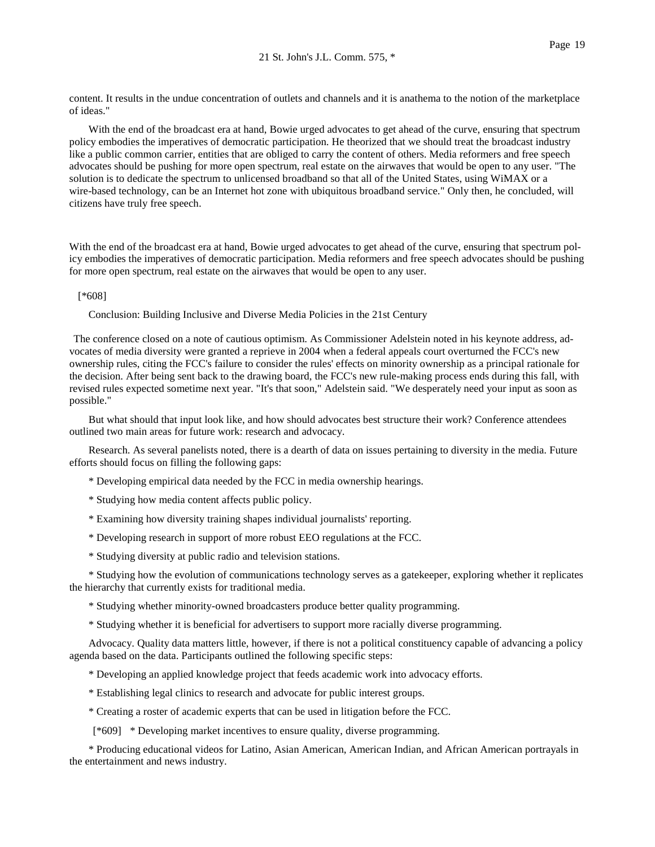content. It results in the undue concentration of outlets and channels and it is anathema to the notion of the marketplace of ideas."

With the end of the broadcast era at hand, Bowie urged advocates to get ahead of the curve, ensuring that spectrum policy embodies the imperatives of democratic participation. He theorized that we should treat the broadcast industry like a public common carrier, entities that are obliged to carry the content of others. Media reformers and free speech advocates should be pushing for more open spectrum, real estate on the airwaves that would be open to any user. "The solution is to dedicate the spectrum to unlicensed broadband so that all of the United States, using WiMAX or a wire-based technology, can be an Internet hot zone with ubiquitous broadband service." Only then, he concluded, will citizens have truly free speech.

With the end of the broadcast era at hand, Bowie urged advocates to get ahead of the curve, ensuring that spectrum policy embodies the imperatives of democratic participation. Media reformers and free speech advocates should be pushing for more open spectrum, real estate on the airwaves that would be open to any user.

#### [\*608]

Conclusion: Building Inclusive and Diverse Media Policies in the 21st Century

The conference closed on a note of cautious optimism. As Commissioner Adelstein noted in his keynote address, advocates of media diversity were granted a reprieve in 2004 when a federal appeals court overturned the FCC's new ownership rules, citing the FCC's failure to consider the rules' effects on minority ownership as a principal rationale for the decision. After being sent back to the drawing board, the FCC's new rule-making process ends during this fall, with revised rules expected sometime next year. "It's that soon," Adelstein said. "We desperately need your input as soon as possible."

But what should that input look like, and how should advocates best structure their work? Conference attendees outlined two main areas for future work: research and advocacy.

Research. As several panelists noted, there is a dearth of data on issues pertaining to diversity in the media. Future efforts should focus on filling the following gaps:

- \* Developing empirical data needed by the FCC in media ownership hearings.
- \* Studying how media content affects public policy.
- \* Examining how diversity training shapes individual journalists' reporting.
- \* Developing research in support of more robust EEO regulations at the FCC.
- \* Studying diversity at public radio and television stations.

\* Studying how the evolution of communications technology serves as a gatekeeper, exploring whether it replicates the hierarchy that currently exists for traditional media.

\* Studying whether minority-owned broadcasters produce better quality programming.

\* Studying whether it is beneficial for advertisers to support more racially diverse programming.

Advocacy. Quality data matters little, however, if there is not a political constituency capable of advancing a policy agenda based on the data. Participants outlined the following specific steps:

\* Developing an applied knowledge project that feeds academic work into advocacy efforts.

- \* Establishing legal clinics to research and advocate for public interest groups.
- \* Creating a roster of academic experts that can be used in litigation before the FCC.

[\*609] \* Developing market incentives to ensure quality, diverse programming.

\* Producing educational videos for Latino, Asian American, American Indian, and African American portrayals in the entertainment and news industry.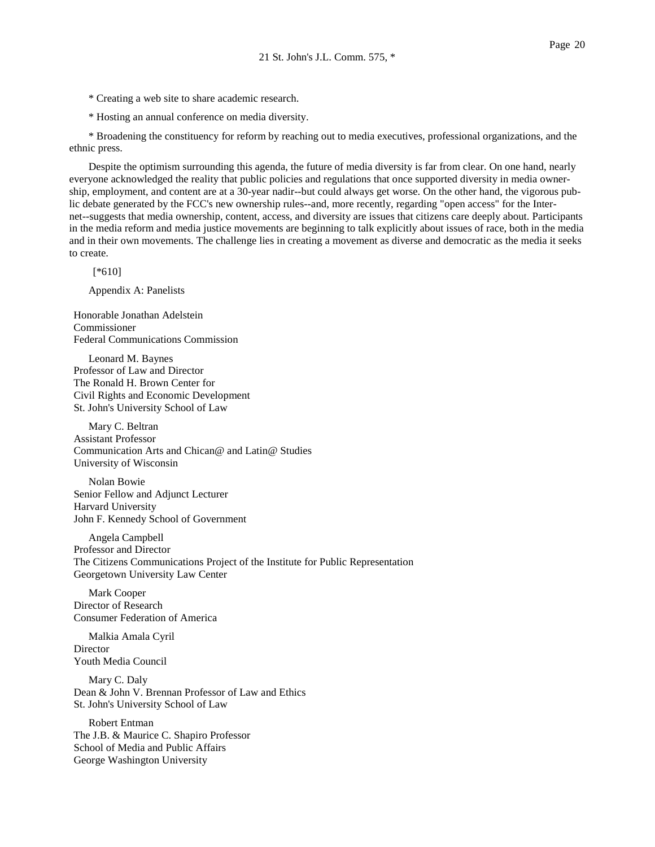- \* Creating a web site to share academic research.
- \* Hosting an annual conference on media diversity.

\* Broadening the constituency for reform by reaching out to media executives, professional organizations, and the ethnic press.

Despite the optimism surrounding this agenda, the future of media diversity is far from clear. On one hand, nearly everyone acknowledged the reality that public policies and regulations that once supported diversity in media ownership, employment, and content are at a 30-year nadir--but could always get worse. On the other hand, the vigorous public debate generated by the FCC's new ownership rules--and, more recently, regarding "open access" for the Internet--suggests that media ownership, content, access, and diversity are issues that citizens care deeply about. Participants in the media reform and media justice movements are beginning to talk explicitly about issues of race, both in the media and in their own movements. The challenge lies in creating a movement as diverse and democratic as the media it seeks to create.

[\*610]

Appendix A: Panelists

Honorable Jonathan Adelstein Commissioner Federal Communications Commission

Leonard M. Baynes Professor of Law and Director The Ronald H. Brown Center for Civil Rights and Economic Development St. John's University School of Law

Mary C. Beltran Assistant Professor Communication Arts and Chican@ and Latin@ Studies University of Wisconsin

Nolan Bowie Senior Fellow and Adjunct Lecturer Harvard University John F. Kennedy School of Government

Angela Campbell Professor and Director The Citizens Communications Project of the Institute for Public Representation Georgetown University Law Center

Mark Cooper Director of Research Consumer Federation of America

Malkia Amala Cyril **Director** Youth Media Council

Mary C. Daly Dean & John V. Brennan Professor of Law and Ethics St. John's University School of Law

Robert Entman The J.B. & Maurice C. Shapiro Professor School of Media and Public Affairs George Washington University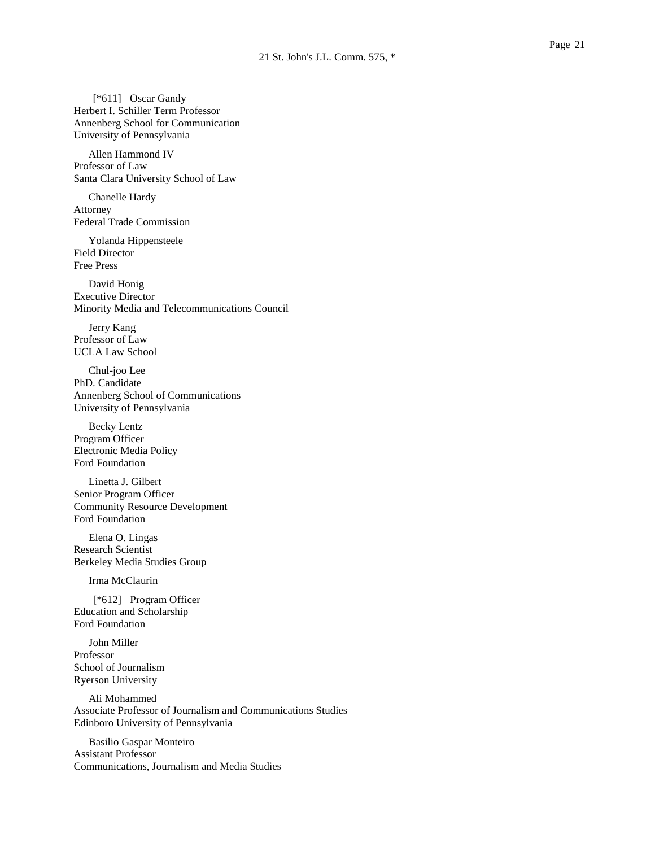[\*611] Oscar Gandy Herbert I. Schiller Term Professor Annenberg School for Communication University of Pennsylvania

Allen Hammond IV Professor of Law Santa Clara University School of Law

Chanelle Hardy Attorney Federal Trade Commission

Yolanda Hippensteele Field Director Free Press

David Honig Executive Director Minority Media and Telecommunications Council

Jerry Kang Professor of Law UCLA Law School

Chul-joo Lee PhD. Candidate Annenberg School of Communications University of Pennsylvania

Becky Lentz Program Officer Electronic Media Policy Ford Foundation

Linetta J. Gilbert Senior Program Officer Community Resource Development Ford Foundation

Elena O. Lingas Research Scientist Berkeley Media Studies Group

Irma McClaurin

[\*612] Program Officer Education and Scholarship Ford Foundation

John Miller Professor School of Journalism Ryerson University

Ali Mohammed Associate Professor of Journalism and Communications Studies Edinboro University of Pennsylvania

Basilio Gaspar Monteiro Assistant Professor Communications, Journalism and Media Studies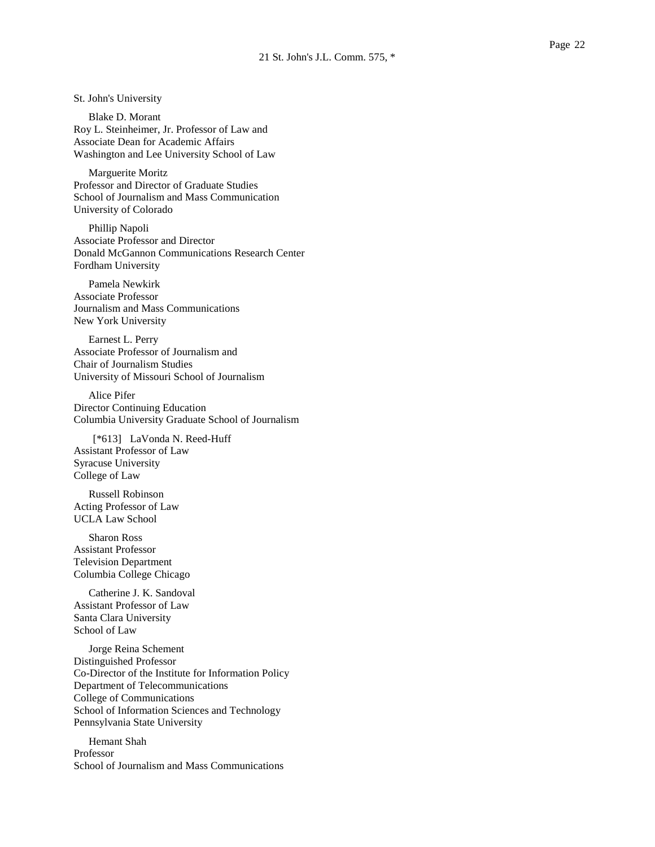St. John's University

Blake D. Morant Roy L. Steinheimer, Jr. Professor of Law and Associate Dean for Academic Affairs Washington and Lee University School of Law

Marguerite Moritz Professor and Director of Graduate Studies School of Journalism and Mass Communication University of Colorado

Phillip Napoli Associate Professor and Director Donald McGannon Communications Research Center Fordham University

Pamela Newkirk Associate Professor Journalism and Mass Communications New York University

Earnest L. Perry Associate Professor of Journalism and Chair of Journalism Studies University of Missouri School of Journalism

Alice Pifer Director Continuing Education Columbia University Graduate School of Journalism

[\*613] LaVonda N. Reed-Huff Assistant Professor of Law Syracuse University College of Law

Russell Robinson Acting Professor of Law UCLA Law School

Sharon Ross Assistant Professor Television Department Columbia College Chicago

Catherine J. K. Sandoval Assistant Professor of Law Santa Clara University School of Law

Jorge Reina Schement Distinguished Professor Co-Director of the Institute for Information Policy Department of Telecommunications College of Communications School of Information Sciences and Technology Pennsylvania State University

Hemant Shah Professor School of Journalism and Mass Communications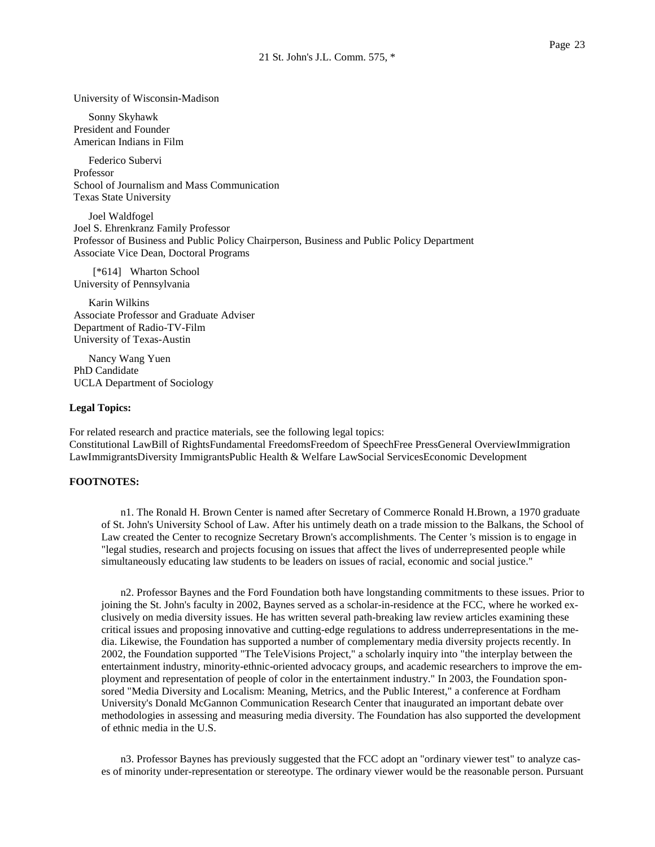University of Wisconsin-Madison

Sonny Skyhawk President and Founder American Indians in Film

Federico Subervi Professor School of Journalism and Mass Communication Texas State University

Joel Waldfogel Joel S. Ehrenkranz Family Professor Professor of Business and Public Policy Chairperson, Business and Public Policy Department Associate Vice Dean, Doctoral Programs

[\*614] Wharton School University of Pennsylvania

Karin Wilkins Associate Professor and Graduate Adviser Department of Radio-TV-Film University of Texas-Austin

Nancy Wang Yuen PhD Candidate UCLA Department of Sociology

#### **Legal Topics:**

For related research and practice materials, see the following legal topics: Constitutional LawBill of RightsFundamental FreedomsFreedom of SpeechFree PressGeneral OverviewImmigration LawImmigrantsDiversity ImmigrantsPublic Health & Welfare LawSocial ServicesEconomic Development

## **FOOTNOTES:**

n1. The Ronald H. Brown Center is named after Secretary of Commerce Ronald H.Brown, a 1970 graduate of St. John's University School of Law. After his untimely death on a trade mission to the Balkans, the School of Law created the Center to recognize Secretary Brown's accomplishments. The Center 's mission is to engage in "legal studies, research and projects focusing on issues that affect the lives of underrepresented people while simultaneously educating law students to be leaders on issues of racial, economic and social justice."

n2. Professor Baynes and the Ford Foundation both have longstanding commitments to these issues. Prior to joining the St. John's faculty in 2002, Baynes served as a scholar-in-residence at the FCC, where he worked exclusively on media diversity issues. He has written several path-breaking law review articles examining these critical issues and proposing innovative and cutting-edge regulations to address underrepresentations in the media. Likewise, the Foundation has supported a number of complementary media diversity projects recently. In 2002, the Foundation supported "The TeleVisions Project," a scholarly inquiry into "the interplay between the entertainment industry, minority-ethnic-oriented advocacy groups, and academic researchers to improve the employment and representation of people of color in the entertainment industry." In 2003, the Foundation sponsored "Media Diversity and Localism: Meaning, Metrics, and the Public Interest," a conference at Fordham University's Donald McGannon Communication Research Center that inaugurated an important debate over methodologies in assessing and measuring media diversity. The Foundation has also supported the development of ethnic media in the U.S.

n3. Professor Baynes has previously suggested that the FCC adopt an "ordinary viewer test" to analyze cases of minority under-representation or stereotype. The ordinary viewer would be the reasonable person. Pursuant